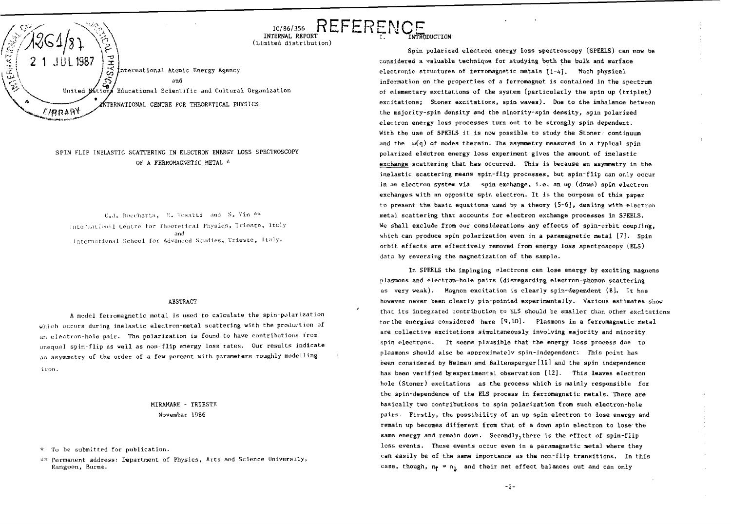

# SPIN FLIP INELASTIC SCATTERING IN ELECTRON ENERGY LOSS SPECTROSCOPY OF A FERROMAGNETIC METAL \*

C.J. Bocchetta, E. Tosatti and S. Vin \*\* International Centre for Theoretical Physics, Trieste, Italy and<br>International School for Advanced Studies, Trieste, Italy.

## ABSTRACT

A model ferromagnetic metal is used to calculate the spin-polarization which occurs during inelastic electron-metal scattering with the production of an electron-hole pair. The polarization is found to have contributions from unequal spin-flip as well as non-flip energy loss rates. Our results indicate an asymmetry of the order of a few percent with parameters roughly modelling iron.

# HIRAHARE - TRIESTE November 1986

To be submitted for publication.

\*\* Permanent address: Department of Physics, Arts and Science University, Rangoon, Burma.

Spin polarized electron energy loss spectroscopy (SPEELS) can now be considered a valuable technique for studying both the bulk and surface electronic structures of ferromagnetic metals  $[1-4]$ . Much physical information on the properties of a ferromagnet is contained in the spectrum of elementary excitations of the system (particularly the spin up (triplet) excitations; Stoner excitations, spin waves). Due to the imbalance between the majority-spin density and the minority-spin density, spin polarized electron energy loss processes turn out to be strongly spin dependent. With the use of SPEELS it is now possible to study the Stoner continuum and the  $\omega(q)$  of modes therein. The asymmetry measured in a typical spin polarized electron energy loss experiment gives the amount of inelastic exchange scattering that has occurred. This is because an asymmetry in the inelastic scattering means spin-flip processes, but spin-flip can only occur in an electron system via spin exchange, i.e. an up (down) spin electron exchanges with an opposite spin electron. It is the purpose of this paper to present the basic equations used by a theory [5-6], dealing with electron metal scattering that accounts for electron exchange processes in SPEELS. We shall exclude from our considerations any effects of spin-orbit coupling, which can produce spin polarization even in a paramagnetic metal  $[7]$ . Spin orbit effects are effectively removed from energy loss spectroscopy (ELS) data by reversing the magnetization of the sample.

REFERENCE

i.

In SPEELS the impinging electrons can lose energy by exciting magnons plasmons and electron-hole pairs (disregarding electron-phon'on scattering as very weak). Magnon excitation is clearly spin-dependent [8], It has however never been clearly pin-pointed experimentally. Various estimates show that its integrated contribution to ELS should be smaller than other excitations for the energies considered here [9,10]. Plasmons in a ferromagnetic metal are collective excitations simultaneously involving majority and minority spin electrons. It seems plausible that the energy loss process due to plasmons should also be approximately spin-independent: This point has been considered by Helman and Baltensperger[11] and the spin independence has been verified by experimental observation [12]. This leaves electron hole (Stoner) excitations as the process which is mainly responsible for the spin-dependence of the ELS process in ferromagnetic metals. There are basically two contributions to spin polarization from such electron-hole pairs. Firstly, the possibility of an up spin electron to lose energy and remain up becomes different from that of a dawn spin electron to lose'the same energy and remain down. Secondly, there is the effect of spin-flip loss events. These events occur even in a paramagnetic metal where they can easily be of the same importance as the non-flip transitions. In this case, though,  $n_f = n_i$  and their net effect balances out and can only

-2-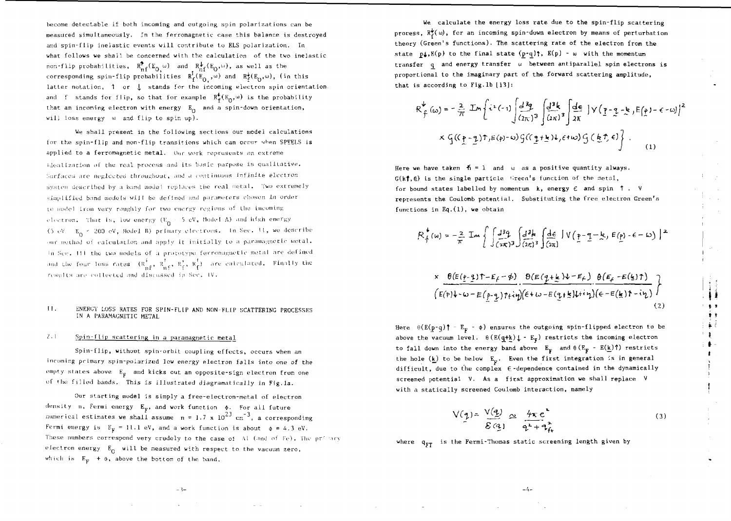become detectable if both incoming and outgoing spin polarizations can be measured simultaneously. In the ferromagnetic case this balance is destroyed and spin-flip inelastic events will contribute to ELS polarization. In what follows we shall be concerned with the calculation of the two inelastic non-flip probabilities,  $R_{n}^{\uparrow}(E_{0,\omega})$  and  $R_{n}^{\downarrow}(E_{0}, \omega)$ , as well as the corresponding spin-flip probabilities  $R_f^f(\mathbf{E}_0, \omega)$  and  $R_f^{\frac{1}{2}}(\mathbf{E}_0,\omega)$ , (in this latter notation,  $1$  or  $1$ , stands for the incoming electron spin orientation. and f stands for flip, so that for example  $R^{\phi}_{\sigma}(E_{\alpha},\omega)$  is the probability that an incoming electron with energy  $E_0$  and a spin-down orientation, will loss energy  $\omega$  and flip to spin up).

We shall present in the following sections our model calculations for the spin-flip and non-flip transitions which can occur when SPEELS is applied to a ferromagnetic metal. Our work represents an extreme idealization of the real process and its basic purpose is qualitative. Surfaces are neglected throughout, and a continuous infinite electron system described by a band model replaces the real metal. Two extremely simplified band models will be defined and parameters chosen in order to model iron very roughly for two energy regions of the incoming electron. That is, low energy (E $_{\rm e}$  – 5 eV, Model A) and high energy (5 eV =  $E_0$  < 200 eV, Model B) primary electrons. In Sec. H, we describe our method of calculation and apply it initially to a paramagnetic metal. In  $Seq<sub>s</sub>$ . Ml the two models of a prototype forromagnetic metal are defined and the four loss rates  $(R_{\text{eff}}^{\dagger}, R_{\text{eff}}^{\dagger}, R_{\text{eff}}^{\dagger}, R_{\text{eff}}^{\dagger})$  are calculated. Finally the  $r$  results are collected and discussed in Sec. IV.

## II. ENEKGY LOSS HATES FOR SPIN-FLIP AND NON-FLIP SCATTERING PROCESSES IN A PARAMAGNETIC METAL

# 2•1 Spin-flip scattering in a paramagnetic metal

Spin-flip, without spin-orbit coupling effects, occurs when an incoming primary spin-polarized low energy electron falls into one of the empty states above  $E_F$  and kicks out an opposite-sign electron from one of the filled bands. This is illustrated diagramatically in Fig.la.

Our starting model is simply a free-electron-metal of electron density η, Fermi energy Ε<sub>π</sub>, and work function φ. For all future numerical estimates we shall assume  $n = 1.7$  x  $10^{23}$  cm $^{-3},$  a corresponding Fermi energy is  $E_y = 11.1$  eV, and a work function is about  $\phi = 4.3$  eV. These numbers correspond very crudely to the case of  $A1$  (and of Fe). The primary electron energy  $E_0$  will be measured with respect to the vacuum zero, which is  $E_p + \phi$ , above the bottom of the band.

 $\sim$  3-

We calculate the energy loss rate due to the spin-flip scattering process,  $\mathbb{R}_{\epsilon}^{\psi}(\omega)$ , for an incoming spin-down electron by means of perturbation theory (Green's functions). The scattering rate of the electron from the state  $p_4$ , $E(p)$  to the final state  $(p-q)$ ;  $E(p)$  - w with the momentum transfer q and energy transfer ui between antiparallel spin electrons is proportional to the imaginary part of the forward scattering amplitude, that is according to Fig.lb [13]:

$$
R_{\hat{f}}^{\psi}(\omega) = -\frac{2}{\pi} Im \left\{ i^{2}(-1) \int \frac{d^{3}q}{(2\pi)^{3}} \int \frac{d^{3}k}{(2\pi)^{3}} \int \frac{d\epsilon}{2\pi} |Y(\underline{r}-\underline{q}-\underline{k}, E(\underline{\rho})-\epsilon-\omega)|^{2} \right.
$$
  

$$
\times G((\underline{r}-\underline{q})\uparrow, E(\rho)-\omega) G((\underline{q}+\underline{k})\downarrow, \epsilon+\omega) G(\underline{k}\uparrow, \epsilon) \right\}.
$$
 (1)

Here we have taken  $f_0 = 1$  and  $\omega$  as a positive quantity always.  $G(k<sup>†</sup>, \epsilon)$  is the single particle Green's function of the metal, for bound states labelled by momentum  $k$ , energy  $\epsilon$  and spin  $\uparrow$ . V represents the Coulomb potential. Substituting the free electron Green's functions in Eq. $(1)$ , we obtain

$$
R_f^{\phi}(\omega) = -\frac{2}{\pi} \operatorname{Im} \left\{ \int \frac{J^3 q}{(\pi \pi)^3} \int \frac{d^3 k}{(\pi \pi)^3} \int \frac{d\epsilon}{(\pi \pi)} \int V(\gamma - \frac{q}{\pi} - \frac{k}{\pi}), \ E(\underline{p}) - \epsilon - \omega \right\}^2
$$

$$
\times \frac{\theta(E(\underline{y}-\underline{y})\tau - E_f - \phi)}{(E(\underline{y})\sqrt{1-\psi}\tau - E_f)\theta(E_{\underline{y}}\tau + \psi)} \cdot \frac{\theta(E(\underline{y}+\underline{b})\sqrt{1-E_f})}{(\theta(E_{\underline{y}}\tau - E_f)\tau - \psi)} \cdot \frac{\theta(E_{\underline{y}}\tau - E(\underline{b})\tau)}{(\theta(E_{\underline{y}}\tau - E_f)\tau - \psi)} \cdot \frac{\theta(E_{\underline{y}}\tau - E_f(\underline{b})\tau)}{(\theta(E_{\underline{y}}\tau - E_f)\tau - \psi)} \cdot \frac{\theta(E_{\underline{y}}\tau - E_f(\underline{b})\tau)}{(\theta(E_{\underline{y}}\tau - E_f)\tau - \psi)} \cdot \frac{\theta(E_{\underline{y}}\tau - E_f(\underline{b})\tau)}{(\theta(E_{\underline{y}}\tau - E_f)\tau - \psi)} \cdot \frac{\theta(E_{\underline{y}}\tau - E_f(\underline{b})\tau)}{(\theta(E_{\underline{y}}\tau - E_f)\tau - \psi)} \cdot \frac{\theta(E_{\underline{y}}\tau - E_f(\underline{b})\tau)}{(\theta(E_{\underline{y}}\tau - E_f)\tau - \psi)} \cdot \frac{\theta(E_{\underline{y}}\tau - E_f(\underline{b})\tau)}{(\theta(E_{\underline{y}}\tau - E_f)\tau - \psi)} \cdot \frac{\theta(E_{\underline{y}}\tau - E_f(\underline{b})\tau - \psi)}{(\theta(E_{\underline{y}}\tau - E_f)\tau - \psi)} \cdot \frac{\theta(E_{\underline{y}}\tau - E_f(\underline{b})\tau - \psi)}{(\theta(E_{\underline{y}}\tau - E_f)\tau - \psi)} \cdot \frac{\theta(E_{\underline{y}}\tau - E_f(\underline{b})\tau - \psi)}{(\theta(E_{\underline{y}}\tau - E_f)\tau - \psi)} \cdot \frac{\theta(E_{\underline{y}}\tau - E_f(\underline{b})\tau - \psi)}{(\theta(E_{\underline{y}}\tau - E_f)\tau - \psi)} \cdot \frac{\theta(E_{\underline{y}}\tau - E_f(\underline{b})\tau - \psi)}{(\theta(E_{\underline{y}}\tau - E_f)\tau - \psi)} \cdot \frac{\theta(E_{\underline{y}}\tau - E_f(\underline{b})\tau - \psi)}{(\theta(E_{\underline{y}}\tau - E_f)\tau - \psi)} \cdot \frac{\theta(E_{\underline{y}}\tau - E_f(\underline{b})\tau - \psi
$$

**M**

 $\mathbf{r}$ 

 $\bullet$  $\frac{1}{3}$ 

Here  $\theta(E(p-q))^{\dagger}$  - E<sub>p</sub> -  $\phi$ ) ensures the outgoing spin-flipped electron to be above the vacuum level.  $\theta(E(q+k))$ , - E<sub>F</sub>) restricts the incoming electron to fall down into the energy band above  $E_p$  and  $\theta$  ( $E_p$  - E(k)<sup>†</sup>) restricts the hole  $(k)$  to be below  $E_p$ . Even the first integration is in general difficult, due to the complex  $\epsilon$ -dependence contained in the dynamically screened potential V. As a first approximation we shall replace V with a statically screened Coulomb interaction, namely

$$
V(q) = \frac{V(q)}{\mathcal{E}(q)} \approx \frac{4\pi e^2}{q^2 + q_L^2}
$$
 (3)

where  $q_{FT}$  is the Fermi-Thomas static screening length given by

 $-4-$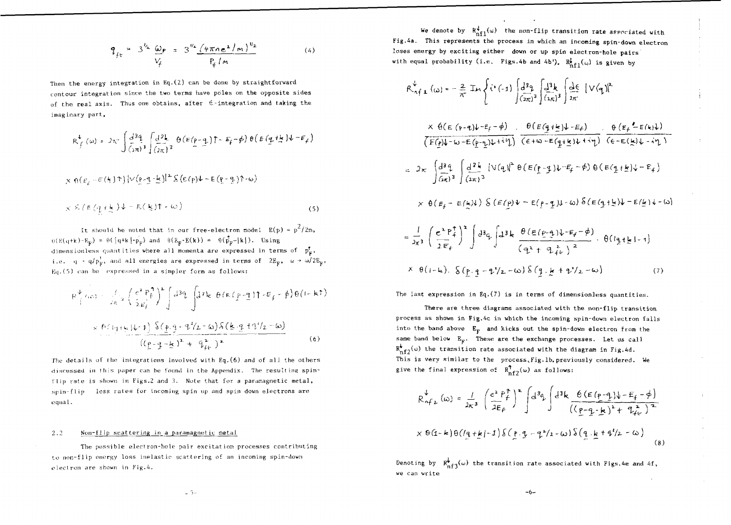$$
q_{fe} = 3^{k_2} \frac{\omega_P}{V_f} = 3^{\frac{V_s}{2}} \frac{(\frac{V_f}{V_f} - 1)}{P_f / n}
$$
 (4)

Then the energy integration in Eq,(2) can be done by straightforward contour integration since the two terms have poles on the opposite sides of the real axis. Thus one obtains, after  $\epsilon$ -integration and taking the imaginary part,

$$
R_f^{\downarrow}(\omega) = 2\pi \int \frac{d^3q}{(\pi \pi)^3} \int \frac{d^2k}{(2\pi)^3} \theta \left( E(p-q) \right) \hat{r} - E_f(\phi) \theta \left( E(q+\frac{1}{2})\psi - E_f \right)
$$

$$
x \theta(\varepsilon_f - \varepsilon(\frac{1}{2})\uparrow) |V(\rho - \frac{1}{2} - \frac{1}{2})|^2 \delta(\varepsilon(\rho)\downarrow - \varepsilon(\rho - \frac{1}{2})\uparrow - \omega)
$$
  

$$
x \delta(\varepsilon(\frac{1}{2} + \frac{1}{2})\downarrow - \varepsilon(\frac{1}{2})\uparrow - \omega)
$$
 (5)

It should be noted that in our free-electron model  $E(p) = p^2 / 2m$ ,  $(-E_{\rm F}) = \theta$  (  $[q+k|-p_{\rm F}$  and  $\theta$  ( $E_{\rm F}$ - $E(k)$  ) =  $\theta$  ( $p_{\rm F}$ - $|k|$  ). Using dimensionless quantities where all momenta are expressed in terms of  $p_F^{\uparrow}$ , i.e. q \* q/p<sub>F</sub>, and all energies are expressed in terms of  $2E_{\rm F}$ ,  $\omega \rightarrow \omega/2E_{\rm F}$ ,  $Eq. (5)$  can be expressed in a simpler form as follows:

$$
R^{\psi}_{\dagger}(x) = \int_{R}^{1} (e^{2} P_{f}^{1})^{2} \int d^{3} \xi \int d^{3} k \theta (E(p-q)) \tau E_{f} - \phi d\theta (1-k \tau)
$$
  

$$
\times \theta (1+k) \psi(1) \delta (p,q-1/2-\omega) \delta (k \cdot q + 1/2-\omega)
$$
  

$$
= \frac{(\rho - q - k)^{2} + 1 \tau_{f}^{2}}{(\rho - q - k)^{2} + 1 \tau_{f}^{2}} \qquad (6)
$$

The details of the integrations involved with Eq.(6) and of all the others discussed in this paper can be found in the Appendix. The resulting spinflip rate is shown in Figs.2 and 3. Note that for a paramagnetic metal, spin-flip loss rates for incoming spin up and spin down electrons are equal.

# 2.2 Non-flip scattering in a paramagnetic metal

The possible electron-hole pair excitation processes contributing to non-flip energy loss inelastic scattering of an incoming spin-down electron are shown in Fig.*k.*

We denote by  $R_{nf1}^{\downarrow}(\omega)$  the non-flip transition rate associated with Fig.4a. This represents the process in which an incoming spin-down electron loses energy by exciting either down or up spin electron-hole pairs with equal probability (i.e. Figs.4b and 4b').  $R^f_{n+1}(\omega)$  is given by

$$
\mathcal{R}_{n\uparrow\perp}^{\downarrow}(\omega) = -\frac{2}{\pi} \text{Im} \left\{ i^{3}(-1) \int \frac{d^{3}q}{(2\pi)^{3}} \int \frac{d^{3}k}{(2\pi)^{3}} \int \frac{d\epsilon}{2\pi} |V(q)|^{2} \right\}
$$
  
\n
$$
\times \theta(\epsilon (p-q)\nu^{-\epsilon_{f}-\phi}) = \frac{\theta(\epsilon (q+\frac{1}{2})\nu-\epsilon_{f})}{(\epsilon + \omega - \epsilon (q+\frac{1}{2})\nu+\nu_{f})} \cdot \frac{\theta(\epsilon_{f} - \epsilon(k)\nu)}{(\epsilon - \epsilon(k)\nu-\nu_{f})}
$$
  
\n
$$
= 2\pi \int \frac{d^{3}q}{(\pi)^{3}} \int \frac{d^{3}k}{(2\pi)^{3}} |V(q)|^{2} \theta(\epsilon (p-q)\nu^{-\epsilon_{f}-\phi}) \theta(\epsilon (q+\frac{1}{2})\nu-\epsilon_{f})
$$
  
\n
$$
\times \theta(\epsilon_{f} - \epsilon(k)\nu) \delta(\epsilon (p)\nu - \epsilon (p-q)\nu^{-\epsilon_{f}-\phi}) \theta(\epsilon (q+\frac{1}{2})\nu - \epsilon(k)\nu - \omega)
$$
  
\n
$$
= \frac{1}{\pi^{2}} \int \frac{e^{2}P_{+}^{\uparrow}}{(\epsilon + \epsilon)(\epsilon)} \int^{2} d^{3}q \int d^{3}q \int d^{3}k \frac{\theta(\epsilon (p-q)\nu^{-\epsilon_{f}-\phi})}{(\epsilon + \epsilon)(\epsilon + \phi)} \cdot \theta(q+\frac{1}{2})
$$

$$
2\pi^{3} \left( 2E_{f} / J \right) \left( \frac{q^{2} + q^{2}}{(q^{2} + q^{2})^{2}} \right) \cdots \left( 2\pi^{3} \right)
$$
  

$$
x \theta(i-k) \cdot \delta(p \cdot q - q^{2}/2 - \omega) \delta(q \cdot k + q^{2}/2 - \omega) \qquad (7)
$$

The last expression in Eq.  $(7)$  is in terms of dimensionless quantities.

There are three diagrams associated with the non-flip transition process as shown in Fig,4c in which the incoming spin-down electron falls into the band above  $E_F$  and kicks out the spin-down electron from the same band below  $E_{\rm g}$ . These are the exchange processes. Let us call  $R_{\pi f\gamma}^{\bigstar}(\omega)$  the transition rate associated with the diagram in Fig,4d. This is very similar to the process,Fig.lb. previously considered. He give the final expression of  $R_{nf2}^{\uparrow}(\omega)$  as follows:

$$
R_{n f L}^{\downarrow}(\omega) = \frac{1}{2\pi^{3}} \left( \frac{e^{2} P_{f}^{\uparrow}}{2E_{f}} \right)^{2} \int d^{3}q_{L}^{\uparrow} \int d^{3}k \frac{\theta (\varepsilon (p-q_{L})\psi - E_{f} - \phi)}{((p-q_{L})^{2} + \eta_{f L}^{2})^{2}}
$$
  
 
$$
\times \theta (1 - k) \theta ((q + k) - 1) \delta (\rho q - q^{2}/2 - \omega) \delta (q \cdot k + \phi^{2}/2 - \omega) \tag{8}
$$

Denoting by  $\mathbb{R}^{\blacklozenge}_{\mathbf{n} \in \mathbb{N}}(\omega)$  the transition rate associated with Figs,4e and 4f, we can write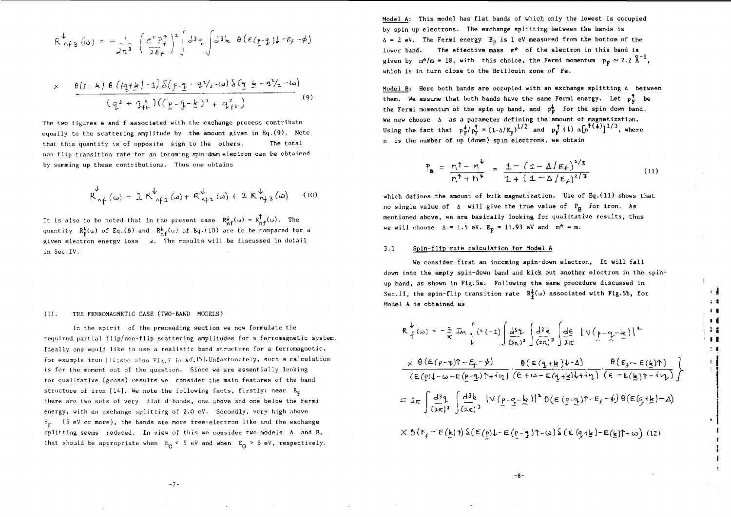$$
R_{n \nmid 3}^{\ndownarrow}(\omega) = -\frac{1}{2\pi^3} \left( \frac{e^2 P_f^{\uparrow}}{2E_f} \right)^2 \left( 3q \int d^3k \theta \left( \frac{E(p-q)}{2} \right) \sqrt{-E_f - \phi} \right)
$$

$$
\times \frac{\theta(I-k) \theta (q_{\uparrow}k) - 1) \delta (p_{\uparrow}q - q^2/2 - \omega) \delta (q_{\uparrow}k - q^2/2 - \omega)}{(q^2 + q_{\uparrow}^2)((q - q - k)^2 + q_{\uparrow}^2)}
$$
\n(9)

The two figures e and **f** associated with the exchange process contribute equally to the scattering amplitude by the anount given in Eq.(9). Note that this quantity is of opposite sign to the others. The total non-flip transition rate for an incoming spin-down electron can be obtained by summing up these contributions. Thus one obtains

$$
R_{n\uparrow}^{\downarrow}(\omega) = 2 R_{n\uparrow 1}^{\downarrow}(\omega) + R_{n\uparrow 2}^{\downarrow}(\omega) + 2 R_{n\uparrow 3}^{\downarrow}(\omega) \qquad (10)
$$

It is also to be noted that in the present case  $R_{\text{nf}}^{\psi}(\omega) = R_{\text{nf}}^{\dagger}(\omega)$ . The quantity  $R_E^{\bullet}(\omega)$  of Eq.(6) and  $R_{\alpha,F}^{\bullet}(\omega)$  of Eq.(10) are to be compared for a given electron energy loss i. The results will be discussed in detail in Sec.IV.

#### III. THE FERROMAGNETIC CASE (TWO-BAND MODELS)

In the spirit of the preceeding section we now formulate the required partial f1ip/non-f1ip scattering amplitudes for a ferromagnetic system. Ideally one would like to use a realistic band structure for a ferromagnetic, for example iron  $|14$ ; see also Fig. 7 in Ref. 15 . Unfortunately, such a calculation is for the moment out of the question. Since we are essentially looking for qualitative (gross) results we consider the main features of the band structure of iron [14]. We note the following facts, firstly: near  $E_{\rm c}$ there are two sets of very flat d-bands, one above **and** one **below** the **Fermi** energy, with an exchange splitting of 2.0 eV. Secondly, very high above  $E<sub>F</sub>$  (5 eV or more), the bands are more free-electron like and the exchange splitting seems reduced. In view of this we consider two models A and B, that should be appropriate when  $E_0 \leq 5$  eV and when  $E_0 \geq 5$  eV, respectively.

**Model A: This model has flat bands of which only the lowest is occupied by spin up electrons. The exchange splitting between the bands is fi = 2 eV, The Fermi energy Ep is 1 eV measured from the bottom of the** lower band. The effective mass m<sup>\*</sup> of the electron in this band is given by  $m^2/m = 18$ , with this choice, the Fermi momentum  $p_r \approx 2.2 \text{ Å}^{-1}$ , **which is in turn close to the Brillouin zone of Fe.**

**Model B: Here both bands are occupied with an exchange splitting a between them. We assume that both bands have the same Fermi energy. Let p\* be** the Fermi momentum of the spin up band, and  $p_{\overline{k}}^{\downarrow}$  for the spin down band. We now choose  $\Delta$  as a parameter defining the amount of magnetization. Using the fact that  $p_F^+ / p_F^+ = (1 - \Delta/E_F)^{1/2}$  and  $p_F^+ (i)$   $\alpha[n^{1/4} ]^{1/3}$ , where **n is the number of up (down) spin electrons, we obtain**

$$
P_{B} = \frac{n^{\dagger} - n^{\dagger}}{n^{\dagger} + n^{\dagger}} = \frac{1 - (1 - \Delta/E_{f})^{2/3}}{1 + (1 - \Delta/E_{f})^{2/3}}
$$
(11)

**which defines the amount of bulk magnetization. Use of Eq.(ll) shows that no single value of fl will give the true value of Fg for iron. As mentioned above, we are basically looking for qualitative results, thus we will choose**  $\Delta = 1.5$  eV.  $E_p = 11.93$  eV and  $m^* = m$ .

## **3.1 Spin-flip rate calculation for Model A**

**We consider first an incoming spin-down electron, It will fall down into the empty spin-down band and kick out another electron in the spinup band, as shown in Fig.5a. Following the same procedure discussed in** Sec. II, the spin-flip transition rate  $R^{\downarrow}_{\varepsilon}(\omega)$  associated with Fig.5b, for **Model A is obtained as**

 $\frac{1}{2}$ ; **i I 1** M I1 II **<sup>1</sup> •** • ' <sup>I</sup>

$$
R_{f}^{\psi}(\omega) = -\frac{2}{\pi} \operatorname{Im} \left\{ i^{\nu} (-1) \int \frac{d^{3} \theta}{(2\pi)^{3}} \int \frac{d^{3} k}{(2\pi)^{3}} \int \frac{d \epsilon}{2\pi} |V(p-q-k)|^{2} \right\}
$$
  
\n
$$
\times \theta (E(p-q)T - E_{f} - \phi) = \frac{\theta (E(q+k) \psi - \Delta)}{(E(p) \psi - \omega - E(p-q) \psi + i\psi)} \cdot \frac{\theta (E(q+k) \psi - \Delta)}{(E + \omega - E(q+k) \psi + i\psi)} \cdot \frac{\theta (E_{f} - E(k) \psi)}{(E - E(k) \psi - i\psi)} \int
$$
  
\n
$$
= 2\pi \int \frac{d^{3} \theta}{(2\pi)^{3}} \int \frac{d^{3} k}{(2\pi)^{3}} |V(p-q-k)|^{2} \theta (E(p-q)T - E_{f} - \phi) \theta (E(q+k) - \Delta)
$$
  
\n
$$
= \frac{\pi}{2} \int \frac{d^{3} k}{(2\pi)^{3}} |V(p-q-k)|^{2} \theta (E(p-q)T - E_{f} - \phi) \theta (E(q+k) - \Delta)
$$

 $X \theta(F_f - E(\underline{k}))$   $\theta$   $\in (0,1)$   $E(\underline{p} - \underline{q})$   $\theta$  -  $\omega$   $\in (0,1]$   $E(\underline{k})$   $\theta$  -  $\omega$   $(12)$ 

**-8-**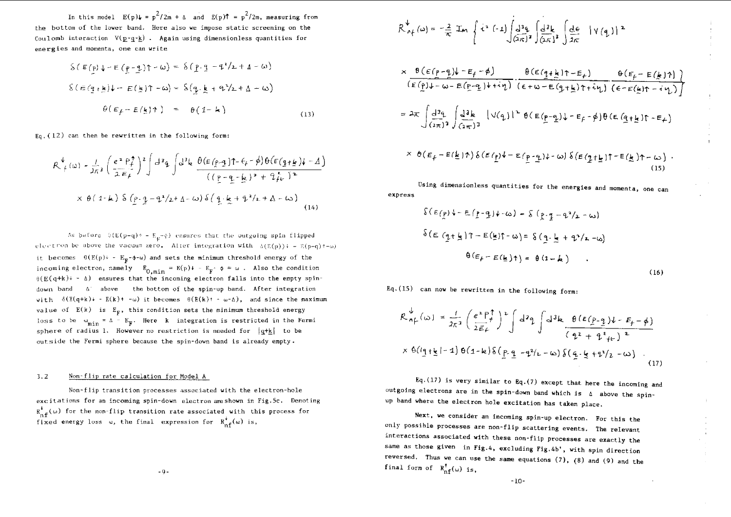In this model  $E(p)\psi = p^2/2m + \Delta$  and  $E(p)f = p^2/2m$ , measuring from the bottom of the lower band. Here also we impose static screening on the Coulomb interaction  $V(p-q-k)$ . Again using dimensionless quantities for energies and momenta, one can write

$$
\begin{aligned}\n\delta \left( E(p) \downarrow - E(p - \underline{p}) \uparrow - \omega \right) &= \delta \left( p \cdot \underline{q} - \underline{q}^2 / \underline{z} + \underline{A} - \omega \right) \\
\delta \left( E(\underline{q} + \underline{k}) \downarrow - E(\underline{k}) \uparrow - \omega \right) &= \delta \left( \underline{q} \cdot \underline{k} + \underline{q}^2 / \underline{z} + \underline{A} - \omega \right) \\
\theta \left( E_f - E(\underline{k}) \uparrow \right) &= \theta \left( 1 - \underline{k} \right)\n\end{aligned}
$$
\n(13)

 $Eq$ ,  $(12)$  can then be rewritten in the following form:

$$
R^{\psi}_{\mu}(\omega) = \frac{1}{2\pi} \left( \frac{e^{2} P_{\mu}^{\phi}}{2 E_{\mu}} \right)^{2} \int d^{3}q \int d^{3}k \frac{\theta (E(p-q))\tau - \xi - \phi \theta (E(q+\underline{k})\tau - \Delta)}{((p-q-\underline{k})^{2} + 2\dot{f}_{\mu})^{2}}
$$
  
 
$$
\times \theta (1-\mu) \delta (p \cdot q - \theta^{2}/2 + \Delta - \omega) \delta (q \cdot \underline{k} + \theta^{2}/2 + \Delta - \omega)
$$
 (14)

As before  $\beta(E(p-q)+ - E_p \neg \phi)$  ensures that the outgoing spin flipped  $e$ lectron be above the vacuum zero. After integration with  $\delta(E(p)) = E(p-q) + \omega$ it becomes  $\theta(E(p)) = E_p - \phi - \omega$  and sets the minimum threshold energy of the incoming electron, namely  $E_{0,\text{min}} = E(p)$  + -  $E_{\overline{F}} \phi = \omega$ . Also the condition  $\theta(E(q+k)^* - \Delta)$  ensures that the incoming electron falls into the empty spindown band  $A'$  above the bottom of the spin-up band. After integration with  $\delta(E(q+k)+ - E(k)+ -\omega)$  it becomes  $\theta(E(k))+ -\omega - \Delta)$ , and since the maximum value of  $E(k)$  is  $E_{\mathbf{F}}$ , this condition sets the minimum threshold energy loss to be  $\omega_{\min}$  = A -  $E_{\text{F}}$ . Here k integration is restricted in the Fermi sphere of radius 1. However no restriction is needed for  $|q+k|$  to be outside the Fermi sphere because the spin-down band is already empty.

# **3.2** Non-flip rate calculation for Model A

Non-flip transition processes associated with the electron-hole excitations for an incoming spin-down electron areshown in Fig.Sc, Denoting  $R_{\text{nf}}^{*}(\omega)$  for the non-flip transition rate associated with this process for<br> $\frac{1}{\sqrt{2}}$ fixed energy loss  $\omega$ , the final expression for  $R_{\text{nf}}^{*}(\omega)$  is,

$$
R_{\Lambda_{f}}^{\psi}(\omega) = -\frac{2}{\pi} \operatorname{Im} \left\{ i^{2} (-1) \int d^{3} \alpha \int \frac{d^{3} k}{(\pi x)^{3}} \int \frac{d \epsilon}{2 \pi} |V(q)|^{2} \right.
$$
  
\n
$$
\times \frac{\theta (\epsilon (\rho - q) \psi - \epsilon_{f} - \phi)}{(\epsilon (\rho) \psi - \omega - \epsilon (\rho - q) \psi + i \eta)} \cdot \frac{\theta (\epsilon (q + k) \eta - \epsilon_{f})}{(\epsilon + \omega - \epsilon (q + k) \eta + i \eta)} \cdot \frac{\theta (\epsilon_{f} - \epsilon (k) \eta)}{(\epsilon - \epsilon (k) \eta - i \eta)} \right]
$$
  
\n
$$
= 2\pi \int \frac{d^{3} \alpha}{(\alpha \pi)^{3}} \int \frac{d^{3} k}{(\alpha \pi)^{3}} |V(q)|^{2} \theta (\epsilon (p - q) \psi - \epsilon_{f} - \phi) \theta (\epsilon (q + k) \eta - \epsilon_{f})
$$
  
\n
$$
\times \theta (\epsilon_{f} - \epsilon (k) \eta) \delta (\epsilon (p) \psi - \epsilon (p - q) \psi - \omega) \delta (\epsilon (q + k) \eta - \omega) .
$$
  
\n(15)

Using dimensionless quantities for the energies and momenta, one can express

$$
\begin{aligned} \n\delta \left( \varepsilon(p) \right) - \varepsilon \left( \frac{p}{2} - q \right) \psi - \omega \right) &= \delta \left( \frac{p}{2} - \frac{q}{2} - \omega \right) \\
\delta \left( \varepsilon \left( \frac{q}{2} + \frac{1}{2} \right) \uparrow - \varepsilon \left( \frac{1}{2} \right) \uparrow - \omega \right) &= \delta \left( \frac{q}{2} \cdot \frac{1}{2} + \frac{q}{2} \right) \left( \varepsilon - \omega \right) \\
\theta \left( \varepsilon_p - \varepsilon \left( \frac{1}{2} \right) \uparrow \right) &= \theta \left( 1 - k \right) \n\end{aligned}
$$

(16)

Eq.(15) can now be rewritten in the following form:

$$
R_{n}^{\psi}(\omega) = \frac{1}{2\pi^{3}} \left( \frac{e^{2} F_{f}^{\uparrow}}{2\bar{\epsilon}_{f}} \right)^{2} \int d^{3}q \int d^{3}k \frac{\theta (\epsilon(p_{-\frac{1}{2}}) \psi - \epsilon_{f} - \phi)}{(\epsilon_{f}^{2} + \epsilon_{f}^{2} \epsilon_{f})^{2}}
$$
  
 
$$
\times \theta (\epsilon_{1} + \epsilon_{1} - 1) \theta (1 - \epsilon_{1}) \delta (\epsilon_{1} - \epsilon_{1} - \phi) \delta (\epsilon_{1} - \epsilon_{1} - \phi) . \qquad (17)
$$

 $Eq. (17)$  is very similar to  $Eq. (7)$  except that here the incoming and outgoing electrons are in the spin-down band which is  $\Delta$  above the spinup band where the electron hole excitation has taken place.

Next, we consider an incoming spin-up electron. For this the only possible processes are non-flip scattering events. The relevant interactions associated with these non-flip processes are exactly the same as those given in Fig.4, excluding Fig.4b', with spin direction reversed. Thus we can use the same equations  $(7)$ ,  $(8)$  and  $(9)$  and the final form of  $R_{nf}^{\dagger}(\omega)$  is,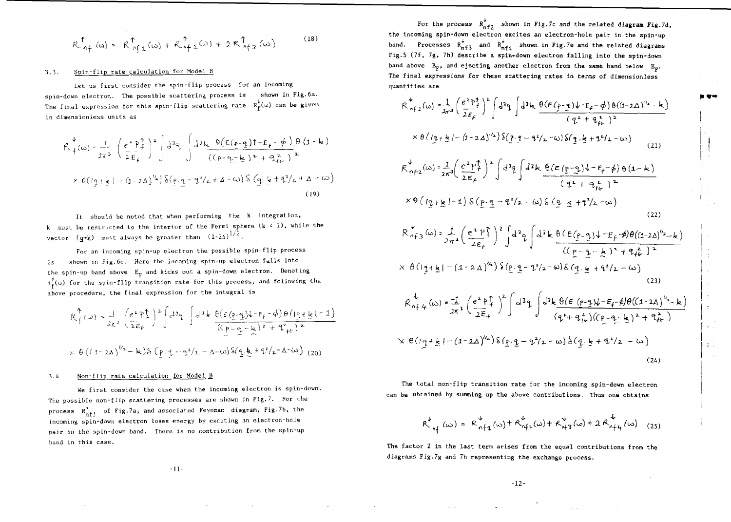$$
R_{af}^{\uparrow}(\omega) = R_{af\downarrow}^{\uparrow}(\omega) + R_{af\downarrow}^{\uparrow}(\omega) + 2R_{af\uparrow}^{\uparrow}(\omega)
$$
 (18)

# 1.3. Spin-flip rate calculation for Model B

Let us first consider the spin-flip process for an incoming spin-down electron. The possible scattering process is shown in Fig.6a. The final expression for this spin-flip scattering rate  $R_f^{\psi}(\omega)$  can be given in dimensionless units as

$$
\mathcal{R}_{f}^{b}(\omega) = \frac{1}{2\pi^{3}} \left( \frac{e^{2} P_{f}^{b}}{2 E_{f}} \right)^{2} \left( d^{3} \xi \int d^{3} \xi \frac{\theta (E(\rho - q) \hat{\tau} - E_{f} - \phi)}{(p - q_{f} - k)^{2} + q_{f}^{2}} \frac{\theta (1 - k)}{2}
$$
  
 
$$
\times \theta (q + k) - (1 - 2\Delta)^{3/2} \frac{\theta (p - q - k) - k}{2} \frac{\theta (q + k) - k}{2}
$$
 (19)

It should be noted that when performing the k integration, k must be restricted to the interior of the Fermi sphere  $(k \le 1)$ , while the vector  $(q+k)$  must always be greater than  $(1-2\Delta)^{1/2}$ .

For an incoming spin-up electron the possible spin-flip process is shown in Fig.6c. Here the incoming spin-up electron falls into the spin-up band above  $E_{\gamma}$  and kicks out a spin-down electron. Denoting  $R_f^{\dagger}(\omega)$  for the spin-flip transition rate for this process, and following the above procedure, the final expression for the integral is

$$
R_{\pm}^{\uparrow}(\omega) = \frac{1}{2\kappa^{2}} \left(\frac{e^{2} P_{\pm}^{\uparrow}}{2\epsilon_{P}}\right)^{2} \left( d^{2} \varphi \int d^{2} k \frac{\theta(\epsilon(p-q)k^{-1}F_{\pm} - \phi) \theta(q+\frac{1}{2}k^{2}-1)}{((p-q-\frac{1}{2})^{2} + q^{2}F_{\pm}^{2})^{2}} \right)
$$
  
 
$$
\times \theta ((1-\lambda\lambda)^{1/2} - k) \delta (p \cdot q - q^{2}/2 - \Delta - \omega) \delta(q \cdot k + q^{2}/2 - \Delta - \omega) (20)
$$

## 3.4 Non-flip rate calculation for Model B

We first consider the case when the incoming electron is spin-down. The possible non-flip scattering processes are shown in Fig.7. For the process  $R_{n+1}^*$  of Fig.7a, and associated Feynman diagram, Fig.7b, the incoming spin-down electron loses energy by exciting an electron-hole pair in the spin-down band. There is no contribution from the spin-up band in this case.

For the process  $R_{n+2}^+$  shown in Fig.7c and the related diagram Fig.7d, the Incoming spin-down electron excites an electron-hole pair in the spin-up band. Processes  $R_{n+3}^{\bullet}$  and  $R_{n+4}^{\bullet}$  shown in Fig.7e and the related diagrams Fig.5 (7f, 7g, 7h) describe a spin-down electron falling into the spin-down band above  $E_F$ , and ejecting another electron from the same band below  $E_{\nu}$ . The final expressions for these scattering rates in terms of dimensionless quantities are

$$
R_{n+1}^{4}(x) = \frac{1}{2\pi^{3}} \left(\frac{e^{2}P_{f}^{4}}{2E_{f}}\right)^{k} \int d^{3}q \int d^{3}k \frac{\theta(E(p-q)+r_{f}-\phi)\theta((1-2\Delta)^{1/2}-k)}{(q^{2}+q_{f}^{2})^{2}}
$$
  
\n
$$
\times \theta\left(\frac{1}{2}+\frac{k}{2}-\frac{(1-2\Delta)^{1/2}}{2E_{f}}\right)^{2} \int d^{3}q \int d^{3}k \frac{\theta(E(p-q)+r_{f}-\phi)\theta((1-2\Delta)^{1/2}-k)}{(21)}
$$
  
\n
$$
R_{n+2}^{4}(x) = \frac{1}{2\pi^{3}} \left(\frac{e^{2}P_{f}^{4}}{2E_{f}}\right)^{2} \int d^{3}q \int d^{3}k \frac{\theta(E(p-q)+r_{f}-\phi)\theta(1-k)}{(q^{2}+q_{f}^{2}-k)^{2}}
$$
  
\n
$$
\times \theta\left(\frac{1}{2}+\frac{k}{2}-1\right) \delta\left(\frac{p}{2}-\frac{q^{2}}{2}-\frac{q^{3}}{2}-\frac{q^{3}}{2}\right) \int d^{3}q \int d^{3}k \frac{\theta(E(p-q)+r_{f}-\phi)\theta(1-2\Delta)^{1/2}-k}{(p-q-k)^{2}+q_{f}^{2}-k)^{2}}
$$
  
\n
$$
R_{n+3}^{4}(x) = \frac{1}{2\pi^{3}} \left(\frac{e^{2}P_{f}^{4}}{2E_{f}}\right)^{2} \int d^{3}q \int d^{3}k \frac{\theta(E(p-q)+r_{f}-\phi)\theta((1-2\Delta)^{1/2}-k)}{(p-q-k)^{2}+q_{f}^{2}-k)^{2}}
$$
  
\n
$$
\times \theta\left(\frac{1}{2}+\frac{k}{2}-\frac{(1-2\Delta)^{1/2}}{2E_{f}}\right)^{2} \int d^{3}q \int d^{3}k \frac{\theta(E(p-q)+r_{f}-\phi)\theta((1-1\Delta)^{1/2}-k)}{(q^{2}+q_{f}^{2})\left(\frac{1}{2}+\frac{q_{f}^{2}}{2}-\frac{k}{2}\right)^{2}+q_{f}^{2}-k}\right)
$$
  
\n<

The total non-flip transition rate for the incoming spin-down electron can be obtained by summing up the above contributions. Thus one obtains

$$
R_{\, \, \gamma \leftarrow 1}^{\psi}(\omega) = R_{\, \, \gamma \leftarrow 1}^{\psi}(\omega) + R_{\, \gamma \leftarrow 1}^{\psi}(\omega) + R_{\, \gamma \leftarrow 1}^{\psi}(\omega) + 2 R_{\, \gamma \leftarrow 1}^{\psi}(\omega) \tag{25}
$$

The factor 2 in the last term arises from the equal contributions from the diagrams Fig.7g and 7h representing the exchange process.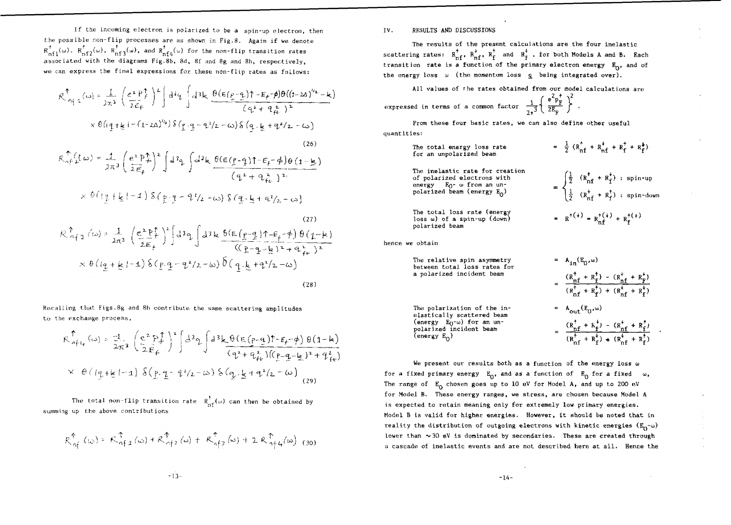If the incoming electron is polarized to be a spin-up electron, then the possible non-flip processes are as shown in Fig.8. Again if we denote  $\alpha$   $\alpha$   $\alpha$   $\mathsf{R}_{\mathrm{nf1}}^ \left( \omega \right)$ ,  $\mathsf{R}_{\mathrm{nf2}}^ \left( \omega \right)$  and  $\mathsf{R}_{\mathrm{nf4}}^ \left( \omega \right)$  for the non-flip transition rates associated with the diagrams Fig.8b, 8d, 8f and 8g and Sh, respectively, we can express the final expressions for these non-flip rates as follows:

$$
R_{\alpha_{f}1}^{\uparrow}(\omega) = \frac{1}{2\pi^{3}} \left(\frac{e^{2} P_{f}^{\uparrow}}{2\epsilon_{f}}\right)^{2} \int d^{3}q \int d^{3}k \frac{\theta(\epsilon(\rho-q))\tau - E_{f}(\phi)\theta((1-2\Delta)^{1/2} - k)}{(q^{2} + q_{ft}^{2})^{2}} \times \theta(q+t_{g}+(-1-2\Delta)^{1/2}) \delta(q+q-q^{2}/2,-\omega) \delta(q+k+q^{2}/2,-\omega)
$$
\n
$$
R_{\alpha_{f}1}^{\uparrow}(\omega) = \frac{1}{2\pi^{3}} \left(\frac{e^{2} P_{f}^{\uparrow}}{2\epsilon_{f}}\right)^{2} \int d^{3}q \int d^{3}k \frac{\theta(\epsilon(\rho-q))\tau - E_{f}(\phi)\theta(1-k)}{(q^{2} + q_{ft}^{2})^{2}} \times \theta(q+t_{g}+k+1) \delta(p+q-q^{2}/2,-\omega) \delta(q+t_{g}+q^{2}/2-\omega)
$$

(27)  
\n
$$
R_{n+3}^{\uparrow} (\omega) = \frac{1}{2\pi^{3}} \left( \frac{e^{2} P_{+}^{\uparrow}}{2E_{+}} \right)^{2} \left[ d^{3} q \int d^{3} k \frac{6(E(p-q)T - E_{+} - \phi) \theta (1 - k)}{(E - q - k)^{2} + q_{+}} \right]
$$
\n
$$
\times \theta (q + k - 1) \delta (p - q - \phi^{2}/2 - \omega) \delta (q \cdot k + q^{2}/2 - \omega)
$$
\n(28)

Recalling that Figs.8g and 8h contribute the same scattering amplitudes to the exchange process,

$$
\mathcal{R}_{aft}^{\uparrow}(\omega) = \frac{-1}{2\pi^{2}} \left( \frac{e^{2} P_{ft}^{\uparrow}}{2E_{ft}} \right)^{2} \left[ d^{3} \kappa \frac{\theta (\epsilon (p-q)) \epsilon_{ff} - \phi}{(q^{2} + q_{ft}^{2})(p-q-\underline{k})^{2} + q_{ft}^{2}} \right]
$$
\n
$$
\times \theta (q + \underline{k} | - 1) \delta (p - q - \alpha) \delta (q - \underline{k} + q^{2} / 2 - \omega) \tag{29}
$$

The total non-flip transition rate  $\overline{R}_{\text{nf}}^{\uparrow}(\omega)$  can then be obtained by summing up the above contributions

$$
R_{\alpha \beta}^{\uparrow} \left( \omega \right) = R_{\alpha \beta, 1}^{\uparrow} \left( \omega \right) + R_{\alpha \beta, 1}^{\uparrow} \left( \omega \right) + R_{\alpha \beta, 1}^{\uparrow} \left( \omega \right) + 2 R_{\alpha \beta, 4}^{\uparrow} \left( \omega \right) \tag{30}
$$

The results of the present calculations are the four inelastic scattering rates:  $R_{n f}^{\dagger}$ ,  $R_{n f}^{\dagger}$ ,  $R_{f}^{\dagger}$  and  $R_{f}^{\dagger}$ , for both Models A and B. Each transition rate is a function of the primary electron energy  $E_0$ , and of the energy loss  $\omega$  (the momentum loss  $q$  being integrated over).

All values of fhe rates obtained from our model calculations are

expressed in terms of a common factor 
$$
\frac{1}{2\pi^3} \left\{ \frac{e^2 p_F^2}{2E_F} \right\}
$$

From these four basic rates, we can also define other useful quantities:

| The total energy loss rate<br>for an unpolarized beam                                                                                       | = $\frac{1}{2}$ ( $R_{\text{nf}}^{\dagger}$ + $R_{\text{nf}}^{\dagger}$ + $R_{\text{f}}^{\dagger}$ + $R_{\text{f}}^{\dagger}$ )      |
|---------------------------------------------------------------------------------------------------------------------------------------------|--------------------------------------------------------------------------------------------------------------------------------------|
| The inelastic rate for creation<br>of polarized electrons with<br>energy - E <sub>O</sub> - ω from an un-<br>polarized beam (energy $E_0$ ) | = $\begin{cases} \frac{1}{2} & (R_{nf}^{t} + R_{f}^{t}) : spin-up \\ \frac{1}{2} & (R_{nf}^{t} + R_{f}^{t}) : spin-down \end{cases}$ |
| The total loss rate (energy<br>loss $\omega$ ) of a spin-up (down)<br>nolarizad haam                                                        | = $R^{+(+)} = R_{n}^{+(+)} + R_{r}^{+(+)}$                                                                                           |

hence we obtain

polarized beam

The relative spin asymmetry between total loss rates for a polarized incident bean

The polarization of the inelastically scattered beam (energy  $E_0-\omega$ ) for an unpolarized incident beam (energy  $E_{\Omega}$ )

=  $A_{in}(E_0,\omega)$  $\frac{R_{\text{nf}} + R_{\text{f}} - R_{\text{nf}}}{\text{nf}}$ A<sub>out</sub>(E<sub>0</sub>,w)  $= \frac{(R_{\rm nf}^{\dagger} + K_{\rm f}^{\dagger}) - (R_{\rm nf}^{\dagger} + R_{\rm f}^{\dagger})}{(R_{\rm pf}^{\dagger} + R_{\rm f}^{\dagger}) + (R_{\rm nf}^{\dagger} + R_{\rm f}^{\dagger})}$ 

spin-down

We present our results both as a function of the energy loss  $\omega$ for a fixed primary energy  $E_0$ , and as a function of  $E_0$  for a fixed  $\omega$ , The range of  $E_Q$  chosen goes up to 10 eV for Model A, and up to 200 eV for Model B. These energy ranges, we stress, are chosen because Model A is expected to retain meaning only for extremely low primary energies. Model B is valid for higher energies. However, it should be noted that in reality the distribution of outgoing electrons with kinetic energies  $(E_0 - \omega)$ lower than  $\sim$  30 eV is dominated by secondaries. These are created through a cascade of inelastic events and are not described here at all. Hence the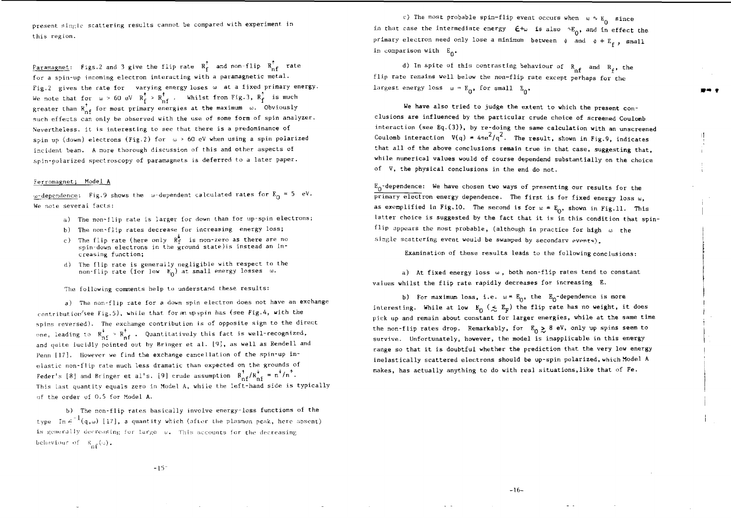present single scattering results cannot be compared with experiment in this region.

Paramagnet: Figs.2 and 3 give the flip rate  $R_f^{\uparrow}$  and non-flip  $R_{nf}^{\uparrow}$  rate for a spin-up incoming electron interacting with a paramagnetic metal. Fig.2 gives the rate for varying energy loses w at a fixed primary energy. We note that for  $\omega > 60$  eV  $R_c > R_{\pi f}$ . Whilst from Fig. 3,  $R_f$  is much greater than R  $_{c}$  for most primary energies at the maximum  $\,$   $\,$   $\,$  . Obviously such effects can only be observed with the use of some form of spin analyzer. Nevertheless, it is interesting to see that there is a predominance of spin up (down) electrons (Fig.2) for  $\omega > 60$  eV when using a spin polarized incident beam. A more thorough discussion of this and other aspects of spin-polarized spectroscopy of paramagnets is deferred to a later paper.

### Fgrromagnet; Model A

<u>w-dependence</u>: Fig.9 shows the "w-dependent calculated rates for  $\text{E}_{\text{O}}$  = 5 eV. We note several facts:

- a) The non-flip rate is larger for down than for up-spin electrons;
- b) The non-flip rates decrease for increasing energy loss;
- c). The flip rate (here only  $\mathbb{R}_{\mathbf{f}}^*$  is non-zero as there are no spin-down electrons in the ground state)is instead an increasing function;
- d) The flip rate is generally negligible with respect to the non-flip rate (for low  $E_0$ ) at small energy losses u.

The following comments help to understand these results:

a) The non-flip rate for a down spin electron does not have an exchange  $contribution$ /see Fig.5), while that for an upspin has (see Fig.4, with the spins reversed). The exchange contribution is of opposite sign to the direct one, leading to  $R_{n}^+$  >  $R_{n}^+$ . Quantitatively this fact is well-recognized, and quite lucidly pointed out by Bringer et al. [9], as well as Rendell and Penn [17]. However we find the exchange cancellation of the spin-up inelastic non-flip rate much less dramatic than expected on the grounds of Feder's [8] and Bringer et al's. [9] crude assumption  $R_{\text{ref}}^{\dagger}/R_{\text{ref}}^{\dagger} = n^{\dagger}/n^{\dagger}$ . This last quantity equals zero in Model A, while the left-hand side is typically of the order of 0.5 for Model A.

b) The non-flip rates basically involve energy-loss functions of the type  $\text{Im } \varphi^{-1}(q,\omega)$  [17], a quantity which (after the plasmon peak, here absent) is generally decreasing for large (w. This accounts for the decreasing behaviour of  $R_{\alpha\beta}(\omega)$ .

c) The most probable spin-flip event occurs when  $w \sim E_0$  since in that case the intermediate energy  $\,\bm{\mathsf{E}}\mathsf{+w}\,$  is also  $\,{}^{\text{n}}\mathsf{E}_\alpha$ , and in effect the primary electron need only lose a minimum between  $\phi$  and  $\phi + \mathbb{E}_x$ , small in comparison with  $E_{\Lambda^*}$ 

d) In spite of this contrasting behaviour of  $R_{\alpha f}$  and  $R_f$ , the flip rate remains well below the non-flip rate except perhaps for the largest energy loss  $w = E_{0}$ , for small  $E_{0}$ .

We have also tried to judge the extent to which the present conclusions are influenced by the particular crude choice of screened Coulomb interaction (see Eq.(3)), by re-doing the same calculation with an unscreened Coulomb interaction  $V(q) = 4\pi e^2/q^2$ . The result, shown in Fig.9, indicates that all of the above conclusions remain true in that case, suggesting that, while numerical values would of course dependend substantially on the choice of V, the physical conclusions in the end do not.

 $E_0$ -dependence: We have chosen two ways of presenting our results for the primary electron energy dependence. The first is for fixed energy loss u, as exemplified in Fig.10. The second is for  $w = E_0$ , shown in Fig.11. This latter choice is suggested by the fact that it is in this condition that spinflip appears the most probable, (although in practice for high  $\omega$  the single scattering event would be swamped by secondary events).

Examination of these results leads to the following conclusions:

a) At fixed energy loss  $\omega$ , both non-flip rates tend to constant values whilst the flip rate rapidly decreases for increasing E.

b) For maximum loss, i.e.  $w = E_0$ , the  $E_0$ -dependence is more interesting. While at low  $E_0$  ( $\lesssim$   $E_F$ ) the flip rate has no weight, it does pick up and remain about constant for larger energies, while at the same time the non-flip rates drop. Remarkably, for  $E_0 \geq 8$  eV, only up spins seem to survive. Unfortunately, however, the model is inapplicable in this energy range so that it is doubtful whether the prediction that the very low energy inelastically scattered electrons should be up-spin polarized, which Model A makes, has actually anything to do with real situations,like that of Fe.

-15-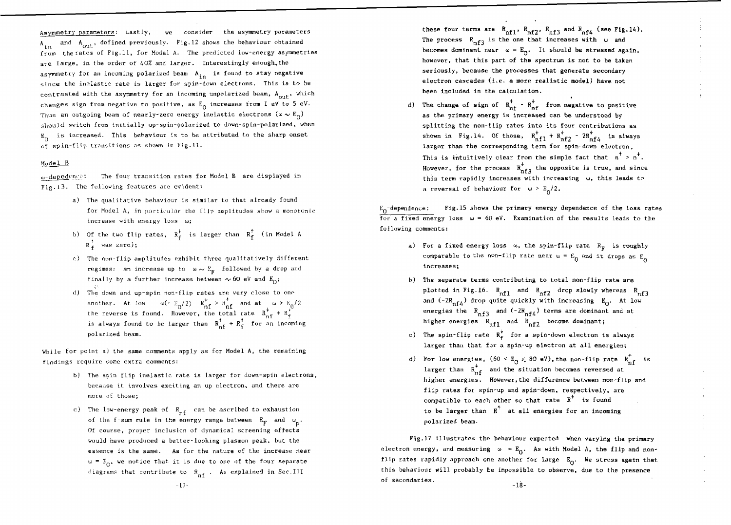Asymmetry parameters; Lastly, we consider the asymmetry parameters  $A_{in}$  and  $A_{out}$ , defined previously. Fig.12 shows the behaviour obtained from the rates of Fig.11, for Model A. The predicted low-energy asymmetries are large, in the order of  $40\%$  and larger. Interestingly enough, the are large, in the order of 400 and larger. Interestingly enough, in  $\frac{1}{2}$  is the finite state of  $\frac{1}{2}$  is found to stay negative state  $\frac{1}{2}$ since the inelastic rate is larger for spin-down electrons. This is to be contrasted with the asymmetry for an incoming unpolarized beam,  $A_{\text{out}}$ , which contrasted with the asymmetry for an incoming unpolarized beam,  $\frac{1}{2}$  which  $\frac{1}{2}$ changes sign from negative to positive, as  $E_0$  infraction from 1 ev. to 5 eV. Thus an outgoing beam of nearly-zero energy inelastic electrons ( $\omega \sim E_0$ )<br>should switch from initially up-spin-polarized to down-spin-polarized, when should switch from initially up-spin-polarized to down-spin-polarized, when  $E_0$  is increased. This behaviour Is to be attributed to the sharp onset of spin-flip transitions as shown in Fig.11.

# Model B

 $\omega$ -depedynce: The four transition rates for Model B are displayed in Fig.13. The following features are evident:

- a) The qualitative behaviour is similar to that already found for Model A, in particular the flip amplitudes show a monotonic increase with energy loss  $\omega$ ;
- b) Of the two flip rates,  $R_f^+$  is larger than  $R_f^+$  (in Model A  $R_{\epsilon}^{\uparrow}$  was zero);
- c) The non-flip amplitudes exhibit three qualitatively different regimes; an increase up to  $w \sim E_{\rm F}$  followed by a drop and finally by a further increase between  $\sim$  60 eV and  $E_{0}$ ;
- d) The down and up-spin non-flip rates are very close to one another. At low  $\omega' \in \mathbb{F}_0/2$   $\mathbb{R}^+_{\mathbf{n}\mathbf{f}} > \mathbb{R}^+_{\mathbf{n}\mathbf{f}}$  and at  $\omega > \mathbb{E}_0/2$ the reverse is found. However, the total rate  $R_{\text{nf}}^+ + R_{\text{f}}^+$ is always found to be larger than  $R_{\text{nf}}^{\uparrow} + R_{\text{f}}^{\uparrow}$  for an incoming polarized beam.

While for point a) the same comments apply as for Model A, the remaining findings require some extra commentsr

- b) The spin flip inelastic rate is larger for down-spin electrons, because it involves exciting an up electron, and there are more of those;
- c) The low-energy peak of  $R_{nf}$  can be ascribed to exhaustion of the f-sum rule in the energy range between  $E_{\rm F}$  and  $\omega_{\rm p}$ . Of course, proper inclusion of dynamical screening effects would have produced a better-looking plasmon peak, but the essence is the same. As for the nature of the increase near  $w = E_{\Omega}$ , we notice that it is due to one of the four separate diagrams that contribute to  $R_{\text{nf}}$ . As explained in Sec.III

these four terms are  $R_{\tt nf1}^{},\ R_{\tt nf2}^{},\ R_{\tt nf3}^{}$  and  $R_{\tt nf4}^{}$  (se The process  $R_{n+1}$  is the one that increases with  $\omega$  and becomes dominant near  $\omega = E_{\Omega}$ . It should be stressed again, however, that this part of the spectrum is not to be taken seriously, because the processes that generate secondary electron cascades (i.e. a more realistic model) have not been included in the calculation,

d) The change of sign of  $R_{nf}^{\dagger}$  -  $R_{nf}^{\dagger}$  from negative to positive as the primary energy is increased can be understood by splitting the non-flip rates into its four contributions as shown in Fig.14. Of those,  $R_{n+1}^+ + R_{n+2}^+ - 2R_{n+4}^+$  is always larger than the corresponding term for spin-down electron. This is intuitively clear from the simple fact that  $n^+ > n^+$ . However, for the process  $R_{n+3}^+$  the opposite is true, and since this term rapidly increases with increasing u, this leads to a reversal of behaviour for  $\omega > E_0/2$ .

 $E_0$ -dependence: Fig.15 shows the primary energy dependence of the loss rates for a fixed energy loss  $\omega = 60$  eV. Examination of the results leads to the following comments:

- a) For a fixed energy loss  $\omega$ , the spin-flip rate  $R_p$  is roughly comparable to the non-flip rate near  $\omega = E_0$  and it drops as  $E_0$ increases;
- b) The separate terms contributing to total non-flip rate are plotted in Fig.16.  $R_{\rm nfl}$  and  $R_{\rm nfl}$  drop slowly whereas  $R_{\rm nfl}$ and (~2R<sub>nfA</sub>) drop quite quickly with increasing E<sub>O</sub>. At low energies the  $R_{n+1}$  and  $(-2R_{n+1})$  terms are dominant and at higher energies  $R_{nfl}$  and  $R_{nfl2}$  become dominant;
- c) The spin-flip rate  $R_f^*$  for a spin-down electron is always larger than that for a spin-up electron at all energies;
- d) For low energies,  $(60 < E_0 \le 80 \text{ eV})$ , the non-flip rate  $R_{\text{nf}}^{\uparrow}$  is larger than  $R_{n,f}^+$  and the situation becomes reversed at higher energies. However, the difference between non-flip and flip rates for spin-up and spin-down, respectively, are compatible to each other so that rate  $R^*$  is found to be larger than  $R^{\uparrow}$  at all energies for an incoming polarized beam.

Fig.17 illustrates the behaviour expected when varying the primary electron energy, and measuring  $\omega = E_0$ . As with Model A, the flip and nonflip rates rapidly approach one another for large  $E_0$ . We stress again that this behaviour will probably be impossible to observe, due to the presence of secondaries.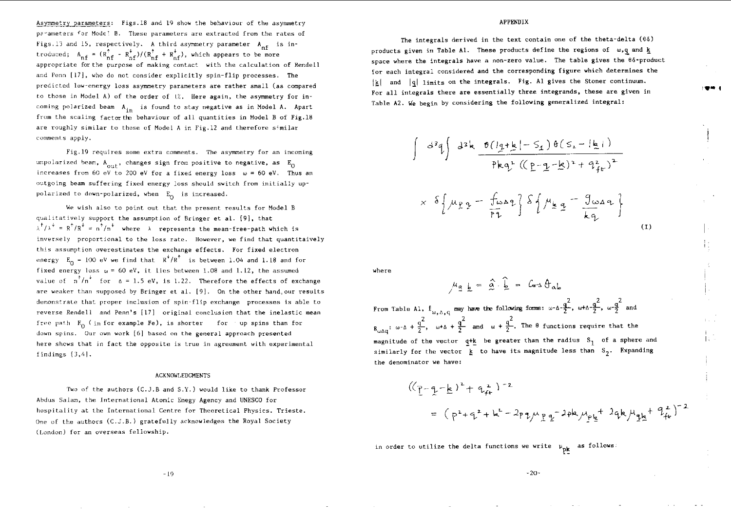Asymmetry parameters; Figs.18 and 19 show the behaviour of the asymmetry parameters for Mode? B. These parameters are extracted from the rates of Figs.13 and 15, respectively. A third asymmetry parameter  $A_{nf}$  is introduced; A " = (R , - R C)/(R , + R ,) , which appears to be more nf ``nf ^nf''`\*nf `^nf appropriate for the purpose of making contact with the calculation of Eendell and Penn [17], who do not consider explicitly spin-flip processes. The predicted low-energy loss asymmetry parameters are rather small (as compared to those in Model A) of the order of  $\&$ . Here again, the asymmetry for incoming polarized beam  $A_{in}$  is found to stay negative as in Model A. Apart from the scaling factor the behaviour of all quantities in Model B of Fig.18 are roughly similar to those of Model A in Fig.12 and therefore similar comments apply.

Fig.19 requires some extra comments. The asymmetry for an incoming unpolarized beam,  $A_{\text{out}}$ , changes sign from positive to negative, as  $E_0$ increases from 60 eV to 200 eV for a fixed energy loss  $\omega = 60$  eV. Thus an outgoing beam suffering fixed energy loss should switch from initially uppolarized to down-polarized, when  $E_0$  is increased.

We wish also to point out that the present results for Model B qualitatively support the assumption of Bringer et al. [9], that  $\lambda^{\dagger}/\lambda^{\dagger} = R^{\dagger}/R^{\dagger} = n^{\dagger}/n^{\dagger}$  where  $\lambda$  represents the mean-free-path which is inversely proportional to the loss rate. However, we find that quantitaively this assumption overestimates the exchange effects. For fixed electron energy  $E_0 = 100$  eV we find that  $R^+/R^+$  is between 1.04 and 1.18 and for fixed energy loss  $\omega = 60$  eV, it lies between 1.08 and 1.12, the assumed value of  $n^{\dagger}/n^{\dagger}$  for  $\Delta = 1.5$  eV, is 1.22. Therefore the effects of exchange are weaker than supposed by Bringer et al. [9]. On the other hand,our results demonstrate that proper inclusion of spin-flip exchange processes is able to reverse Rendell and Penn's [17] original conclusion that the inelastic mean free path  $\mathbb{E}_{\alpha}$  (in for example Fe), is shorter for the spins than for down spins. Our own work [6] based on the general approach presented here shows that in fact the opposite is true in agreement with experimental findings [3,4].

#### ACKNOWLEDGMENTS

Two of the authors (C.J.B and S.Y.) would like to thank Professor Abdus Saiam, the International Atomic Enegy Agency and UNESCO for hospitality at the International Centre for Theoretical Physics. Trieste. One of the authors (C.J.B.) gratefully acknowledges the Royal Society (London) for an overseas fellowship.

## APPENDIX

The integrals derived in the text contain one of the theta-delta (65) products given in Table Al. These products define the regions of  $w,q$  and k space where the integrals have a non-zero value. The table gives the 86-product {or each integral considered and the corresponding figure which determines the  $|\mathbf{k}|$  and  $|\mathbf{q}|$  limits on the integrals. Fig. Al gives the Stoner continuum. For all integrals there are essentially three integrands, these are given in Table A2. We begin by considering the following generalized integral:

$$
\int d^{3}q \int d^{2}k \frac{\theta(\frac{1}{2} + \frac{1}{2}) - S_{1}) \theta(S_{2} - \frac{1}{2} + 1)}{\beta kq^{2} ((\frac{p}{2} - \frac{1}{2} - \frac{1}{2})^{2} + \beta_{fe}^{2})^{2}}
$$
  
 
$$
\times \delta \left\{ \mu_{\frac{p}{2}q} - \frac{\int \omega_{\frac{p}{2}q}}{\beta q} \right\} S \left\{ \mu_{\frac{p}{2}q} - \frac{\int \omega_{\frac{p}{2}q}}{\frac{1}{2} + \beta_{e}} \right\}
$$
 (1)

where

$$
\mu_{\underline{a}} \underline{b} = \hat{a} \cdot \hat{b} = G \cdot \theta_{ab}
$$

2  $-2$   $-2$ From Table Al,  $f_{\omega,\Delta,q}$  may have the following forms:  $\omega$ -6- $\frac{3}{2}$ ,  $\omega$ +6- $\frac{3}{2}$ ,  $\omega$ - $\frac{3}{2}$  and  $B_{\omega\Delta q}: \omega\cdot \Delta + \frac{q^2}{2}, \omega\cdot \Delta + \frac{q^2}{2}$  and  $\omega + \frac{q^2}{2}$ . The  $\theta$  functions require that the magnitude of the vector  $q+k$  be greater than the radius  $S_1$  of a sphere and similarly for the vector  $k$  to have its magnitude less than  $S_2$ . Expanding the denominator we have:

$$
((p-q-k)^2 + q_{fe}^2)^{-2}
$$
  
=  $(p^2+q^2+k^2-2pq_{\mu}p_{q}^2)^{-2}p^{2}k\mu_{pe}^{+2}q^{2}k\mu_{qk}^{+}q_{fe}^{2})^{-2}$ 

in order to utilize the delta functions we write  $\mu_{\text{pk}}$  as follows:

 $-19$   $-20$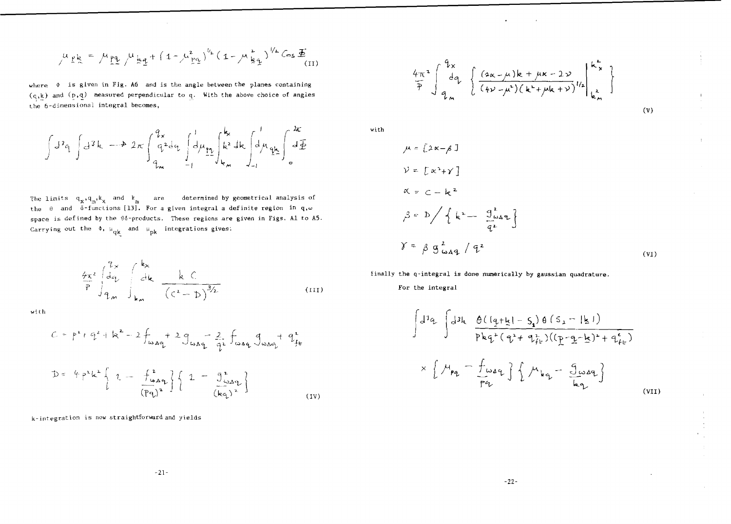$$
\mu_{\frac{p}{2}} = \mu_{\frac{p}{2}} \mu_{\frac{p}{2}} \mu_{\frac{p}{2}} + (1 - \mu_{\frac{p}{2}}^2)^{\frac{1}{2}} (1 - \mu_{\frac{p}{2}}^2)^{\frac{1}{2}} \cos \Phi_{(II)}
$$

where  $\phi$  is given in Fig. A6 and is the angle between the planes containing  $(q, k)$  and  $(p, q)$  measured perpendicular to q. With the above choice of angles the 6-dimensional integral becomes,

$$
\int d^2q \int d^3k \longrightarrow 2\pi \int_{q_m}^{q_x} q^2 dq \int_{-1}^{1} dq_m \int_{-1}^{k_x} k^2 dk \int_{-1}^{1} d\mu_{q_k} \int_{0}^{k_x} d\underline{F}
$$

The limits  $q_v, q_w, k_v$  and  $k_m$  are determined by geometrical analysis of the  $\theta$  and  $\delta$ -functions [13]. For a given integral a definite region in  $\mathbf{q},\omega$ space is def ined by the 65-products. These regions are given in Figs. Al to A5. Carrying out the  $\phi$ ,  $\mu_{\bf qk}$  and  $\mu_{\bf pk}$  integrations gives:

$$
\frac{4x^2}{P} \int_{q_m}^{q_x} d\varphi \int_{km}^{k_x} \frac{k C}{(C^2 - D)^{3/2}}
$$
 (III)

with

$$
C = p^{2} + q^{2} + k^{2} - 2 \int_{\omega_{Aq}} + 2 g \int_{\omega_{Aq}} - \frac{2}{q^{2}} \int_{\omega_{Aq}} g_{\omega_{Aq}} + q^{2}_{fe}
$$
  

$$
D = 4 p^{2} k^{2} \left\{ 1 - \frac{f_{\omega_{Aq}}^{2}}{(pq)^{2}} \right\} \left\{ 1 - \frac{g^{2}}{(kq)^{2}} \right\}
$$
 (IV)

k-inf egration is now straightforward and yields

$$
\frac{4\pi^2}{\overline{P}}\int_{q_m}^{q_x} \left\{\frac{(a_{\kappa}-\mu)k+\mu\kappa-2\nu}{(4\nu-\mu^2)(k^2+\mu k+\nu)}l'_z\right\}_{k_m}^{k_x}
$$

(V)

with

$$
\mu = [2\kappa - \beta]
$$
\n
$$
\mathcal{V} = [\kappa^{2} + \gamma]
$$
\n
$$
\alpha = c - k^{2}
$$
\n
$$
\beta = D / \left\{ k^{2} - \frac{g_{\omega\Delta q}}{q^{2}} \right\}
$$
\n
$$
\gamma = \beta g_{\omega\Delta q}^{2} / q^{2}
$$
\n(vi)

finally **the** q-integral is done **numerically** by **gaussian quadrature.**

**For** the **integral**

$$
\int d^{3}q \int d^{3}k \frac{\theta(\left[q+\frac{1}{2}\right]-\zeta_{1})\theta(\zeta_{2}-|\zeta|)}{p k q^{2} (q^{2}+q^{2}_{f}\omega)(\zeta_{2}-\zeta_{2})^{2}+q^{2}_{f}\omega})
$$
  
 
$$
\times \left\{\mu_{pq} - \frac{f}{p q} \omega_{q} \right\} \left\{\mu_{kq} - \frac{f}{q} \omega_{q} \right\}
$$
  
(vii)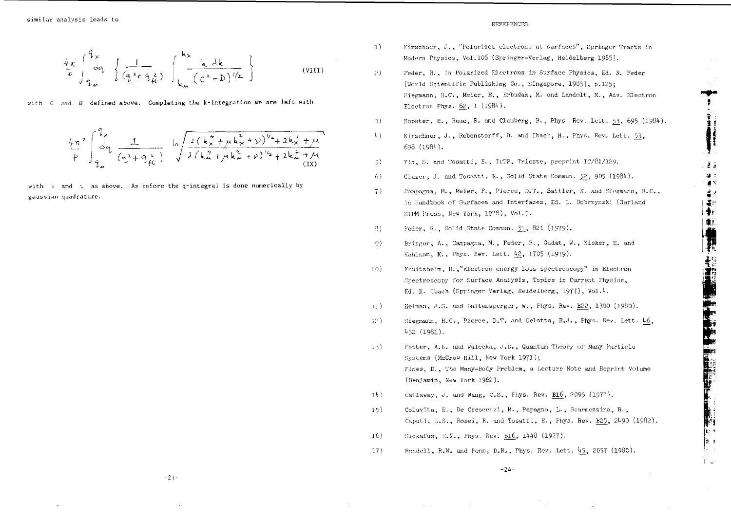$$
\frac{4x}{P} \int_{q_m}^{q_x} \left\{ \frac{1}{(q^2 + q_{\mu}^2)} \int_{k_m}^{k_x} \frac{k \, \, \text{d}k}{(c^2 - D)^{1/2}} \right\} \qquad \text{(VIII)}
$$

with C and D defined above. Completing the k-integration we are left with

$$
\frac{4\pi^{2}}{P}\int_{q_{m}}^{q_{x}}\frac{1}{(q^{2}+q_{f_{C}}^{2})}\int_{0}^{\frac{1}{2}(\frac{1}{k_{m}}+\mu k_{m}^{2}+y)^{1/2}+2k_{m}^{2}+\mu k_{m}^{2})}d\sqrt{\frac{2(k_{m}^{2}+\mu k_{m}^{2}+y)^{1/2}+2k_{m}^{2}+\mu}{2(k_{m}^{2}+\mu k_{m}^{2}+y)^{1/2}+2k_{m}^{2}+\mu k_{m}^{2}}}
$$

with  $y$  and  $y$  as above. As before the q-integral is done numerically by gaussian quadrature.

#### REFERENCES

- l) Kirschner, J. , "Polarized electrons at surfaces", Springer Tracts in Modern Physics, Vol.106 (Springer-Verlag, Heidelberg 1985).
- *?)* Feder, R., in Polarized Electrons in Surface Physics, Ed. R. Feder (World Scientific Publishing Co., Singapore, 1985), p.125; Siegmann, H.C., Meier, E., Erbudak, M. and Landolt, M., Adv. Electron Electron Phys.  $62, 1$  (1984).
- $\}$ ) liopster, H., Raue, R. and Clauberg, R., Phys. Rev. Lett.  $\frac{53}{23}$ , 695 (1984).

**1!**

**(I**

**- 3 1 -•.** *ay.*

≝∡ 博士 士

េទី ខ្

**1**

**•ft**

*n*

ÍE: ≑ 'nз

- 4) Kirschner, J., Rebenstorff, D. and Ibach, H., Phys. Rev. Lett. 53, 698 (1984)<mark>.</mark>
- <sup>5</sup>) Yin, S. and Tosatti, E., IUTP, Trieste, preprint IC/81/129.
- 6) Glazer, J. and Tosatti, K., Solid State Commun.  $52$ , 905 (1984).
- 7) Campaena, H., Meier, F. , Pierce , D.T., Sattler, K. and Siegmann, H.C. , in Handbook of Surfaces and Interfaces, Ed. L. Dobrzynski (Garland STPM Press, New York, 1978), Vol.I.
- fi) Feder, R. , Golid State Commun. 31 , 821 (1979)-
- 9) Bringer, A., Campagna, M., Feder, R., Gudat, W., Kisker, E. and Kahlman, K. , Thys. Rev. Lett. *h2\_,* 1705 (1979).
- ]()) F'roitzheira, *H.* /'electro n energy loss spectroscopy" in Electron Spectroscopy for Surface Analysis, Topics in Current Physics, Ed. H. Ibach (Springer Verlag, Heidelberg, 1977), Vol.4.
- IJ) Ilelman, J.S. and Baltensperger, W., Phys. Rev. B22, 1300 (1980).
- ]:J Siegmann, H.C., Pierce, D.T. and Celotta, R.J., Phys. Rev. Lett. 46, 1\*52 (1981).
- 13) Fetter, A.L. and Walecka, J.D., Quantum Theory of Many Particle Systems (McGraw Hill, New York 1971); Pines, D., The Many-Body Problem, a Lecture Note and Reprint Volume (Benjamin, Hew York 1962).
- 14) Callaway, J. and Wang, C.S., Phys. Rev. B16, 2095 (1977).
- 15) Colavita , E., De Crescenzi, M., Papagno, L., Scarmozzino, R., Caputi, L.S., Rosei, R. and Tosatti, E., Phys. Rev. B25, 2490 (1982).
- 16) Sickafus, E.N., Phys. Rev. B16, 1448 (1977).
- 17) Hendcll, R.W. and Penn, D.R. , Phys. Rev. Lett. *h5\_,* 2057 (1980).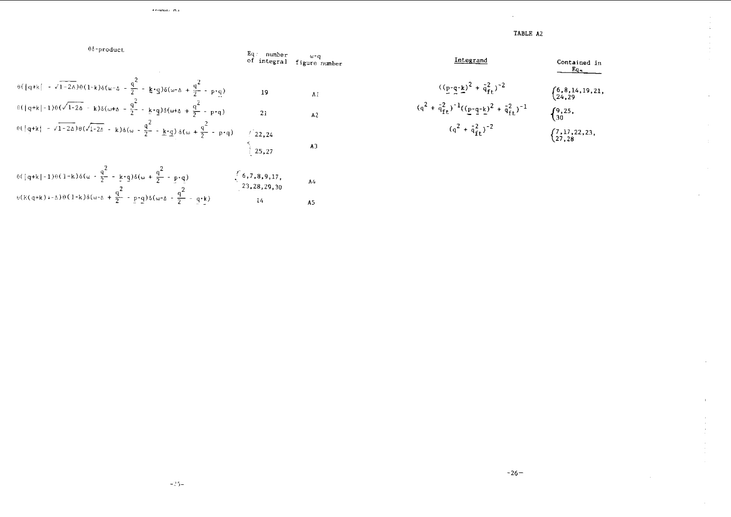TABLE A2

à,  $\pm$ 

 $\mathcal{L}$ 

 $\epsilon$ 

 $\alpha$ 

| Integral                                                                         | Contained in           |
|----------------------------------------------------------------------------------|------------------------|
| \n $((\underline{p-q-k})^2 + \bar{q}_{ft}^2)^{-2}$ \n                            | \n $(6,8,14,19,21,$ \n |
| \n $(q^2 + \bar{q}_{ft}^2)^{-1}((\underline{p-q-k})^2 + \bar{q}_{ft}^2)^{-1}$ \n | \n $(9,25,$ \n         |
| \n $(q^2 + \bar{q}_{ft}^2)^{-2}$ \n                                              | \n $(7,17,22,23,$ \n   |
| \n $(27,28)$ \n                                                                  |                        |

$$
\begin{array}{cccc}\n\text{Eq: number} \\
\text{of integral} & \text{figure number}\n\end{array}
$$

$$
\theta(|q+k| - \sqrt{1-2\Delta})\theta(1-k)\delta(\omega-\Delta) - \frac{q^2}{2} - \frac{1}{2} \cdot q) \delta(\omega-\Delta) + \frac{q^2}{2} - p \cdot q)
$$
\n
$$
\theta(|q+k| - 1)\theta(\sqrt{1-2\Delta} - k)\delta(\omega+\Delta) - \frac{q^2}{2} - \frac{1}{2} \cdot q) \delta(\omega+\Delta) + \frac{q^2}{2} - p \cdot q)
$$
\n
$$
\theta(|q+k| - \sqrt{1-2\Delta})\theta(\sqrt{1-2\Delta} - k)\delta(\omega) - \frac{q^2}{2} - \frac{1}{2} \cdot q) \delta(\omega) + \frac{q^2}{2} - p \cdot q
$$
\n
$$
\left(22, 24\right)
$$
\n
$$
\left(25, 27\right)
$$
\nA3

 $\lambda$  contains  $\mathbf{r}$  as

 $0$ <sup>6</sup>-product

$$
\theta(\frac{q+k}{-1}\theta(1-k)\delta(\omega-\frac{q}{2})-\frac{kq}{2}\delta(\omega+\frac{q}{2}-\frac{p}{2}\cdot q))
$$
\n
$$
\theta(K(q+k)+\delta)\theta(1-k)\delta(\omega-\delta+\frac{q}{2}-\frac{p}{2}\cdot q)\delta(\omega-\delta-\frac{q}{2}-\frac{q}{2}\cdot k)
$$
\n
$$
\theta(K(q+k)+\delta)\theta(1-k)\delta(\omega-\delta+\frac{q}{2}-\frac{p}{2}\cdot q)\delta(\omega-\delta-\frac{q}{2}-\frac{q}{2}\cdot k)
$$
\n
$$
\text{A5}
$$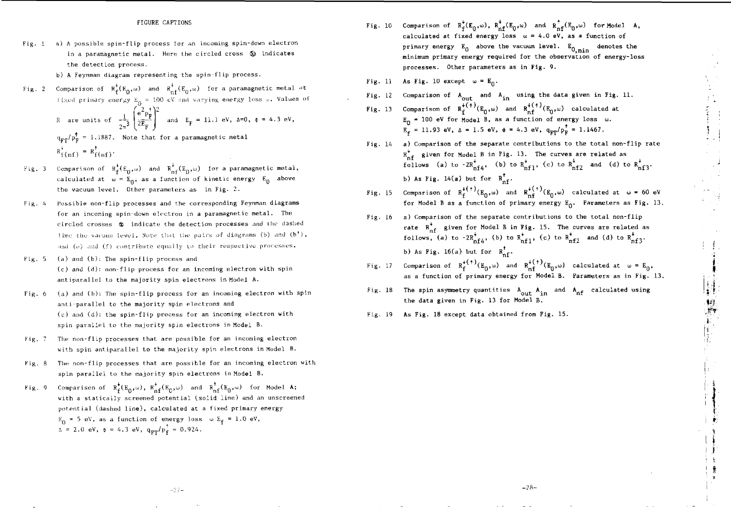#### FIGURE CAPTIONS

- Fig.  $1$  a) A possible spin-flip process for an incoming spin-down electron in a paramagnetic metal. Here the circled cross  $\delta$  indicates the detection process,
	- b) A Feynman diagram representing the spin-flip process.
- Fig. 2 Comparison of  $R_f^*(E_0,\omega)$  and  $R_{nf}^*(E_0,\omega)$  for a paramagnetic metal at fixed primary energy  $E_0 = 100$  eV and varying energy loss  $\omega$ . Values of R are units of  $\frac{1}{2}$   $\frac{1}{2}$   $\frac{1}{2}$  and  $E_p = 11.1$  eV,  $\Delta = 0$ ,  $\phi = 4.3$  eV,  $\mathbf{q}_{\mathbf{w}\cdot\mathbf{p}}/\mathbf{p}_{\mathbf{p}}^{\dagger}$  = 1.1887. Note that for a paramagnetic metal  $R_{f(nf)}^* = R_{f(nf)}^+$ .
- Fig. 3 Comparison of  $R_f^*(E_0,\omega)$  and  $R_{\text{nf}}^*(E_0,\omega)$  for a paramagnetic metal, calculated at  $\omega = \mathbb{E}_0$ , as a function of kinetic energy  $\mathbb{E}_0$  above the vacuum level. Other parameters as in Fig. 2.
- Fig. 4 Possible non-flip processes and the corresponding Feynman diagrams for an incoming spin-down electron in a paramagnetic metal. The circled crosses ® indicate the detection processes and Lhc dashed line the vacuum level. Note that the pairs of diagrams (b) and  $(b^+)$ , and  $(e)$  and  $(f)$  contribute equally to their respective processes.
- Fig. 5 (a) and (b): The **spin-flip** process and (c) and (d): non-flip process for an incoming electron with spin antiparallel to the majority spin electrons in Model A.
- Fig. 6 (a) and (b): The spin-flip process for an incoming electron with spin anti-parallel to the majority spin electrons and (c) and (d): the spin-flip process for an incoming electron with spin parallel to the majority spin electrons in Model B.
- Fig. 7 The non-flip processes that are possible for an incoming electron with spin antiparallel to the majority spin electrons in Model B.
- Fig. 8 The non-flip processes that are possible for an incoming electron with spin parallel to the majority spin electrons in Model B.
- Fig. 9 Comparison of  $R_f^*(E_0,\omega)$ ,  $R_{nf}^*(E_0,\omega)$  and  $R_{nf}^*(E_0,\omega)$  for Model A; with a statically screened potential (solid line) and an unscreened potential (dashed line), calculated at a fixed primary energy  $E_n = 5$  eV, as a function of energy loss  $\omega, E_f = 1.0$  eV,  $\Delta = 2.0 \text{ eV}, \phi = 4.3 \text{ eV}, \ q_{\text{E}}/p_{\epsilon}^{\dagger} = 0.924.$
- Fig. 10 Comparison of  $R_f^r(E_0,\omega)$ ,  $R_{nf}^r(E_0,\omega)$  and  $R_{nf}^r(E_0,\omega)$  for Model A, calculated at fixed energy loss  $w = 4.0$  eV, as a function of **primary energy**  $E_0$  above the vacuum level.  $E_{0,\text{min}}$  denotes the **minimum primary energy required for the observation of energy-loss processes. Other parameters as in Fig. 9.**
- Fig. 11 **As Fig. 10 except u) = Eg.**
- Fig. 12 Comparison of A<sub>out</sub> and A<sub>in</sub> using the data given in Fig. 11.
- $Fig. 13$ 13 Comparison of  $R_c^{*(1)}(E_0,\omega)$  and  $R_c^{*(1)}(E_0,\omega)$  calculated at **E,** \_ " 100 eV for Model B, as a function of energy loss  $E_f = 11.93 \text{ eV}, \Delta = 1.5 \text{ eV}, \phi = 4.3 \text{ eV}, \phi_{\text{E}} = 1.1467.$
- Fig. 14 a) Comparison of the separate contributions to the total non-flip rate  $R_{\perp \varepsilon}^*$  given for Model B in Fig. 13. The curves are related as follows (a) to  $-2R_{\text{nfd}}^{\text{v}}$ , (b) to  $R_{\text{nfd}}^{\text{v}}$ , (c) to  $R_{\text{nfd}}^{\text{v}}$  and (d) to b) As Fig. 14(a) but for  $R_{\alpha}^{\dagger}$ .
- Fig. 15 Comparison of R^ •'(EQ.UJ) and R^^CE Q calculated at w = 60 eV for Model B as a function of primary energy  $E_0$ . Parameters as Fig. 13.
- Fig. 16 **a) Comparison of the separate contributions to the total non-flip** rate  $R_{af}^r$  given for Model B in Fig. 15. The curves are related as follows, (a) to  $-2R_{nfd}$ , (b) to  $R_{nfd}$ , (c) to  $R_{nfd}$ , and (d) to  $R_{nfd}$ . b) As Fig. 16(a) but for  $R_{n}^{\dagger}$ .
- Fig. 17 Comparison of  $R_f^{\chi^+ \gamma}(E_0,\omega)$  and  $R_{n+1}^{\chi^+ \gamma}(E_0,\omega)$  calculated at  $\omega = E_0$ , as a function of primary energy for Model B. Parameters as in Fig. 13.
- fig. 18 The spin asymmetry quantities  $A_{\alpha i t}$   $A_{i,n}$  and  $A_{\alpha f}$  calculated using the data given in Fig. 13 for Model B.

-28-

 $\frac{1}{2}$ 

Fig. 19 As Fig. 18 except data obtained from Fig. 15.

 $-27-$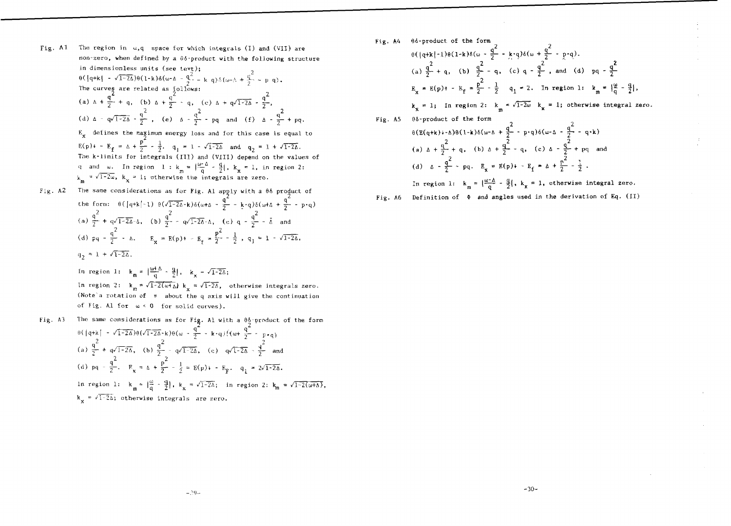Fig. Al The region in  $\omega$ ,q space for which integrals (I) and (VII) are non-zero, when defined by a  $\theta\delta$ -product with the following structure in dimensionless units (see tevt);  $\theta$ (|q+k| -  $\sqrt{1-2\Delta}$ ) $\theta$ (1-k) $\delta(\omega - \Delta - \frac{q^2}{q} - k q)$  $\delta(\omega - \Delta + \frac{q}{q} - k p q)$ .

The curve 
$$
\frac{q}{2}
$$
 are related as follows:  
\n(a)  $\Delta + \frac{q^2}{2} + q$ , (b)  $\Delta + \frac{q^2}{2} - q$ , (c)  $\Delta + q\sqrt{1-2\Delta} - \frac{q^2}{2}$ ,  
\n(d)  $\Delta - q\sqrt{1-2\Delta} - \frac{q^2}{2}$ , (e)  $\Delta - \frac{q^2}{2} - pq$  and (f)  $\Delta - \frac{q^2}{2} + pq$ .

 $E_x$  defines the maximum energy loss and for this case is equal to  $E(p)$  + -  $E_f = \Delta + \frac{p}{2} - \frac{1}{2}$ ,  $q_1 = 1 - \sqrt{1-2\Delta}$  and  $q_2 = 1 + \sqrt{1-2\Delta}$ . The k-limits for integrals (III) and (VIII) depend on the values of q and w. In region  $1 : k = \frac{|\omega - \mu|}{\sigma} - \frac{\mu}{2}$ ,  $k_x = 1$ , in region 2:  $k_m = \sqrt{1-2\omega}$ ,  $k_x = 1$ ; otherwise the integrals are zero.

Fig. A2 The same considerations as for Fig. Al apply with a 66 product of the form:  $\theta$ (|q+k|-l)  $\theta(\sqrt{1-2\Delta}-k)\delta(\omega+\Delta-\frac{4}{7}-k\cdot q)\delta(\omega+\Delta+\frac{4}{7}-p\cdot q)$ (a)  $\frac{q^2}{2}$  +  $\frac{q\sqrt{1-2\Delta}-\Delta}{2}$ , (b)  $\frac{q^2}{2}$  -  $\frac{q\sqrt{1-2\Delta}-\Delta}{2}$ , (c)  $q - \frac{q^2}{2}$  -  $\frac{1}{\Delta}$  and (d)  $pq - \frac{1}{2} - \lambda$ .  $E_x = E(p) + -E_f = \frac{1}{2} - \frac{1}{2}$ ,  $q_1 = 1 - \sqrt{1-2\Delta}$  $q_2 = 1 + \sqrt{1-2\Delta}$ .

> In region 1:  $k_m = \left|\frac{\omega + \Delta}{\alpha} - \frac{q}{2}\right|$ ,  $k_v = \sqrt{1-2\Delta}$ ; In region 2:  $k_{\text{m}} = \sqrt{1-2(\omega+1)} k_{\text{x}} = \sqrt{1-2\Delta}$ , otherwise integrals zero. (Note's rotation of  $\pi$  about the q axis will give the continuation of Fig. Al for  $\omega \leq 0$  for solid curves).

Fig. A3 The same considerations as for Fig. Al with a  $\theta_2^{\text{t}}$ -product of the form  $\theta$ (|q+k| -  $\sqrt{1-2\Delta}$ ) $\theta$ ( $\sqrt{1-2\Delta}$ -k) $\theta$ (w -  $\frac{q^2}{2}$  - k·q){(w+  $\frac{q^2}{2}$ 2 (a)  $\frac{1}{2}$  + q $\sqrt{1-2\Delta}$ , (b)  $\frac{q}{2}$  - q $\sqrt{1-2\Delta}$ , (c) q $\sqrt{1-2\Delta}$  -  $\frac{q}{2}$  and 2 (d) pq -  $\frac{q^{-}}{2}$ ,  $R_y = \Delta + \frac{p^{-}}{2} - \frac{1}{2}$ In region 1:  $k_m = \left|\frac{\omega}{a} - \frac{q}{2}\right|$ ,  $k_v = \sqrt{1-2\Delta}$ ; in region 2:  $: \frac{1}{2} + \frac{1}{2} - \frac{1}{2} =$  $k_v = \sqrt{1-2\Delta}$ ; otherwise integrals are zero.

- $\theta(\frac{q+k}{2})\theta(1-k)\delta(\omega \frac{4}{2} k \cdot q)\delta(\omega + \frac{4}{2} p \cdot q).$ Fig. A4 66-product of the form 2  $a^2$   $a^2$   $a^2$ (a)  $\frac{q}{2} + q$ , (b)  $\frac{q}{2} - q$ , (c)  $q - \frac{q}{2}$ , and (d) pq -  $\frac{q}{2}$  $E_n = E(p)$  + -  $E_f = \frac{p^2}{2} - \frac{1}{2}$   $q_1 = 2$ . In region 1:  $k_m = \frac{w}{q} - \frac{q}{2}$ ,  $k_x = 1$ ; In region 2:  $k_m \le \sqrt{1-2\omega}$   $k_x = 1$ ; otherwise integral zero. Fig. A5  $\theta$  &-product of the form  $A + \frac{q^2}{2} - p \cdot q \} \delta(\omega - \Delta - \frac{q^2}{2} - q \cdot k)$  $\frac{2}{2}$   $\frac{2}{2}$   $\frac{4}{2}$   $\frac{4}{2}$   $\frac{4}{2}$   $\frac{4}{2}$   $\frac{4}{2}$ (a)  $\Delta$  +  $\frac{1}{2}$  + q, (b)  $\Delta$  +  $\frac{1}{2}$  - q, (c)  $\Delta$  -  $\frac{1}{2}$  + pq and (d)  $\Delta - \frac{q^2}{2} \cdot pq$ .  $E_x = E(p) + - E_f = \Delta + \frac{p^2}{2} - \frac{1}{2}$ . In region 1:  $k_m = \left|\frac{w-a}{q} - \frac{q}{2}\right|, k_x = 1$ , otherwise integral zero.
	- Fig. A6 Definition of  $\Phi$  and angles used in the derivation of Eq. (II)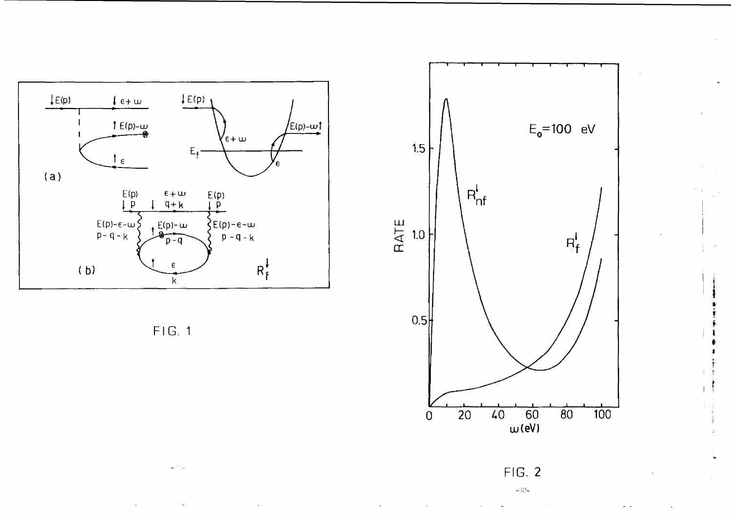







 $\pm 2\Omega$   $\pm$ 

ing an  $\begin{array}{c} \begin{array}{c} \bullet \\ \bullet \end{array} \end{array}$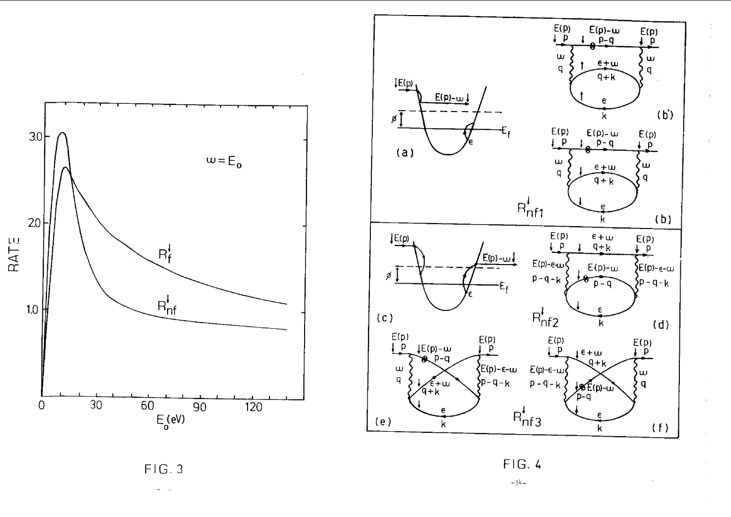



 $\mathcal{A}^{\mathcal{A}}$ 

 $FIG.3$ 

 $\omega \sim 10^{-1}$ 

 $FIG.4$ 

 $-34-$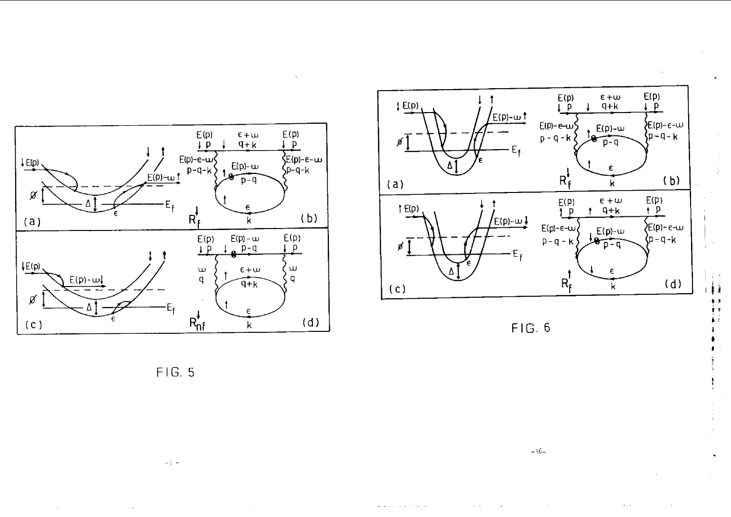





**\* s r r** *i i i***•t**

FIG . 5

 $-\beta^*$   $\pm$ 

 $-36-$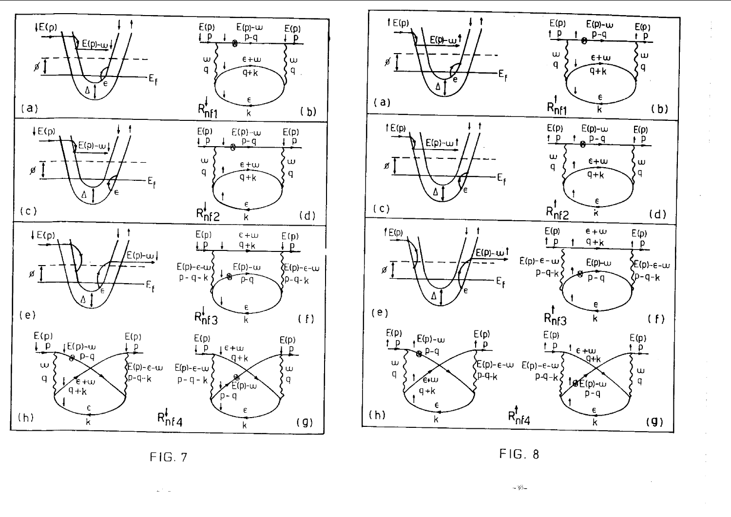



 $\pm$ 

 $\mathcal{A}$ 

FIG. 7

 $\omega^{-1}$  ,  $\omega$ 

FIG. 8

**-Mi-**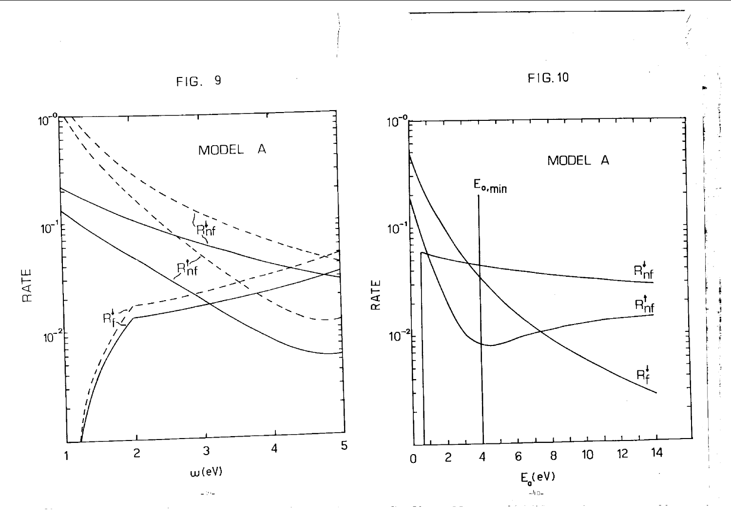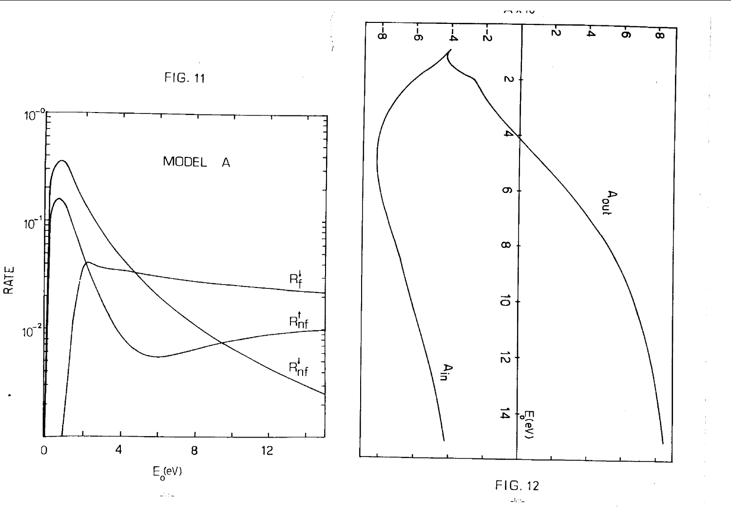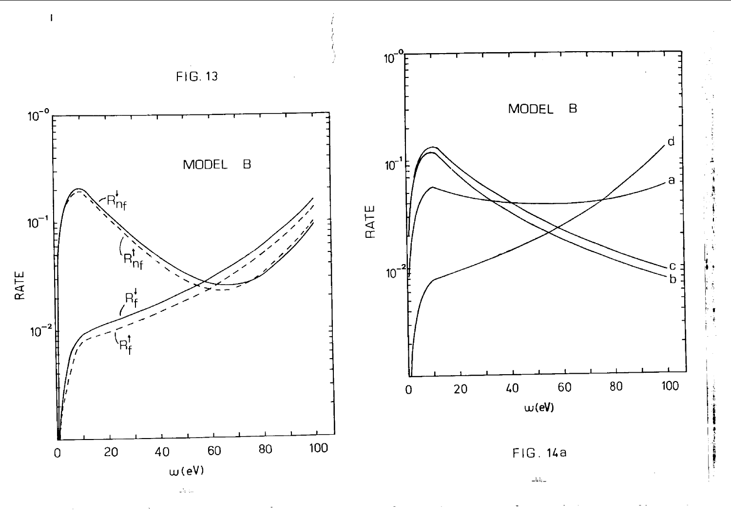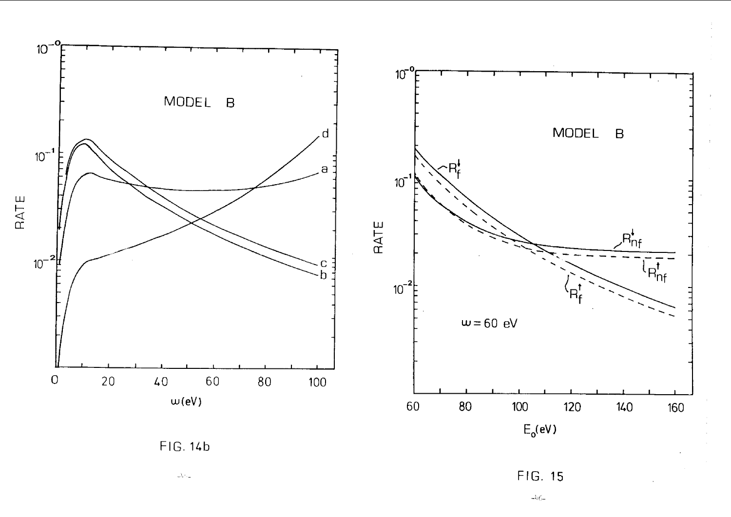

 $\bar{\omega}$  6-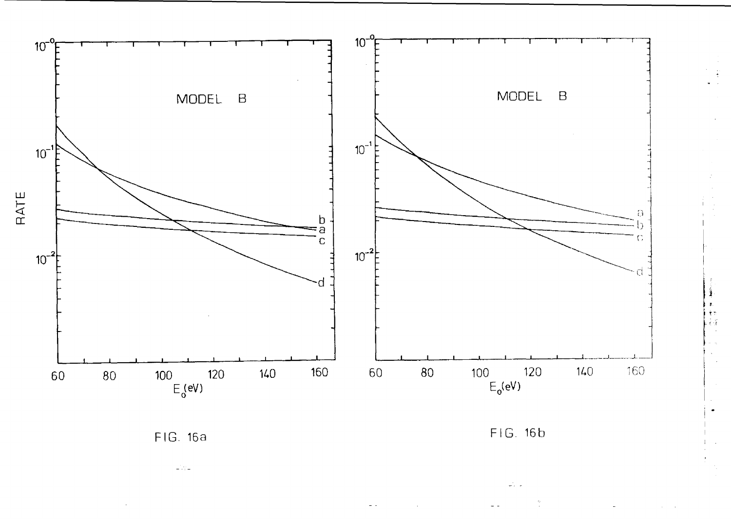

FIG. 16a

 $\omega_{\rm eff}$ 



Ï

्रोण<br>राजी

 $\omega_{\rm c}$  .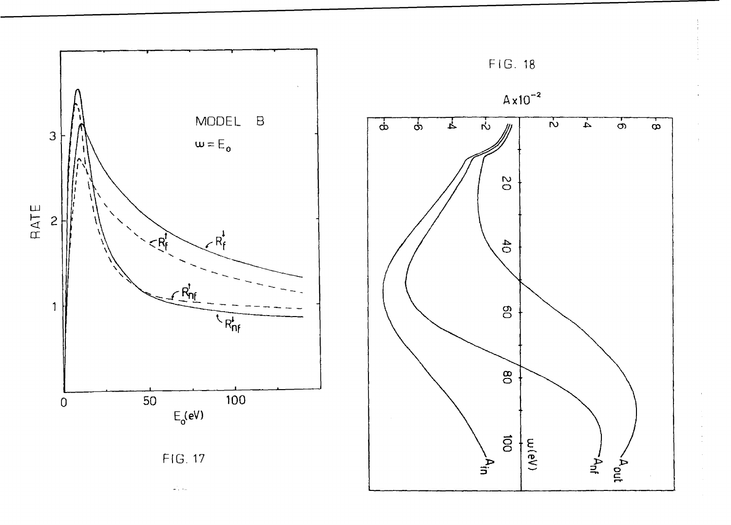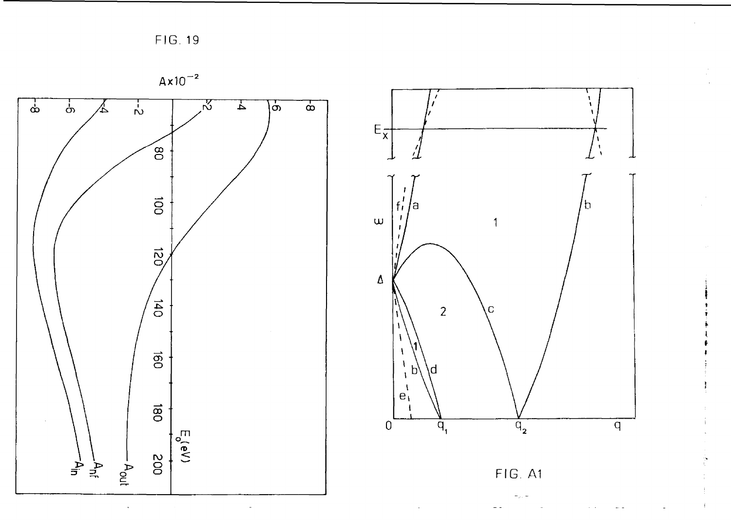FIG. 19

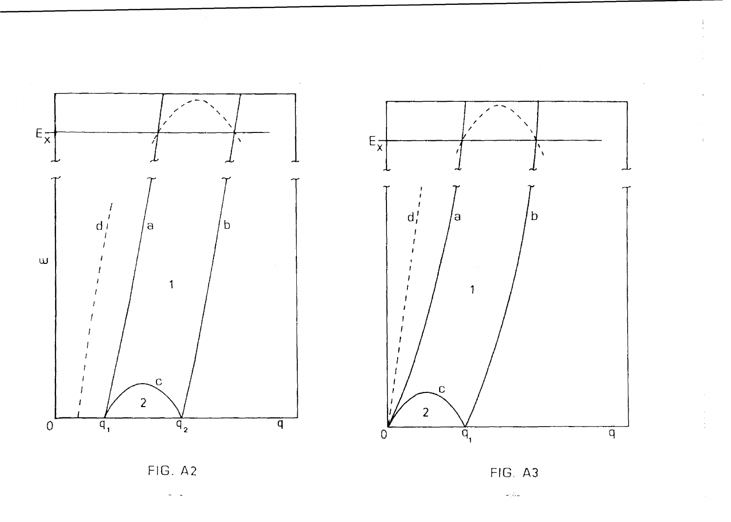



 $\overline{\phantom{a}}$ 

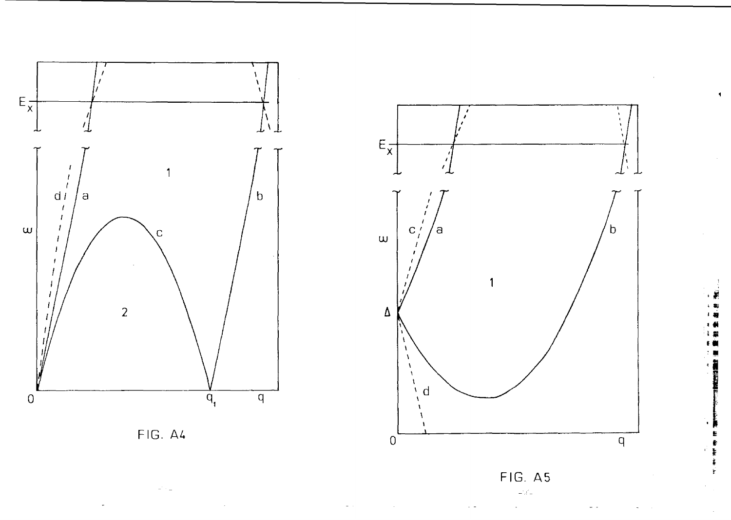

FIG. A4





FIG. A5  $\omega^i{}_i \vec{e}_\perp$ 

 $\hat{\mathbf{r}}$ ŧ

Ť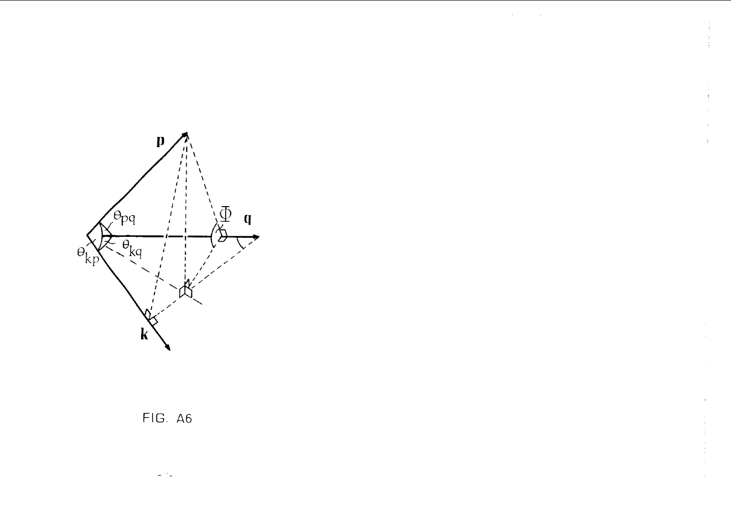

# FIG. A6

÷.  $\sim$ 

 $\bar{\epsilon}$ 

 $\pm$